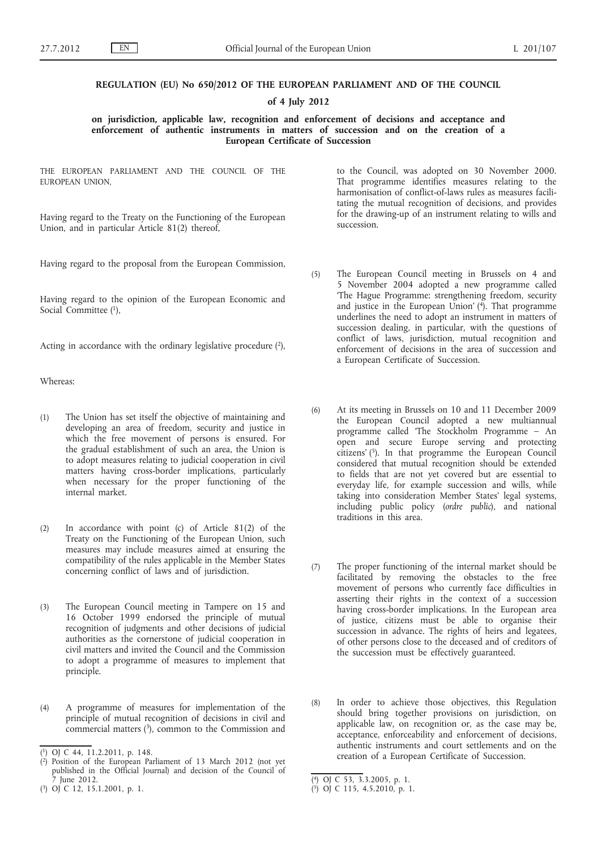# **REGULATION (EU) No 650/2012 OF THE EUROPEAN PARLIAMENT AND OF THE COUNCIL**

#### **of 4 July 2012**

# **on jurisdiction, applicable law, recognition and enforcement of decisions and acceptance and enforcement of authentic instruments in matters of succession and on the creation of a European Certificate of Succession**

THE EUROPEAN PARLIAMENT AND THE COUNCIL OF THE EUROPEAN UNION,

Having regard to the Treaty on the Functioning of the European Union, and in particular Article 81(2) thereof,

Having regard to the proposal from the European Commission,

Having regard to the opinion of the European Economic and Social Committee  $(1)$ ,

Acting in accordance with the ordinary legislative procedure (2),

Whereas:

- (1) The Union has set itself the objective of maintaining and developing an area of freedom, security and justice in which the free movement of persons is ensured. For the gradual establishment of such an area, the Union is to adopt measures relating to judicial cooperation in civil matters having cross-border implications, particularly when necessary for the proper functioning of the internal market.
- (2) In accordance with point (c) of Article 81(2) of the Treaty on the Functioning of the European Union, such measures may include measures aimed at ensuring the compatibility of the rules applicable in the Member States concerning conflict of laws and of jurisdiction.
- (3) The European Council meeting in Tampere on 15 and 16 October 1999 endorsed the principle of mutual recognition of judgments and other decisions of judicial authorities as the cornerstone of judicial cooperation in civil matters and invited the Council and the Commission to adopt a programme of measures to implement that principle.
- (4) A programme of measures for implementation of the principle of mutual recognition of decisions in civil and commercial matters (3), common to the Commission and

( 3) OJ C 12, 15.1.2001, p. 1.

to the Council, was adopted on 30 November 2000. That programme identifies measures relating to the harmonisation of conflict-of-laws rules as measures facilitating the mutual recognition of decisions, and provides for the drawing-up of an instrument relating to wills and succession.

- (5) The European Council meeting in Brussels on 4 and 5 November 2004 adopted a new programme called 'The Hague Programme: strengthening freedom, security and justice in the European Union' (4). That programme underlines the need to adopt an instrument in matters of succession dealing, in particular, with the questions of conflict of laws, jurisdiction, mutual recognition and enforcement of decisions in the area of succession and a European Certificate of Succession.
- (6) At its meeting in Brussels on 10 and 11 December 2009 the European Council adopted a new multiannual programme called 'The Stockholm Programme – An open and secure Europe serving and protecting citizens' (5). In that programme the European Council considered that mutual recognition should be extended to fields that are not yet covered but are essential to everyday life, for example succession and wills, while taking into consideration Member States' legal systems, including public policy (*ordre public*), and national traditions in this area.
- (7) The proper functioning of the internal market should be facilitated by removing the obstacles to the free movement of persons who currently face difficulties in asserting their rights in the context of a succession having cross-border implications. In the European area of justice, citizens must be able to organise their succession in advance. The rights of heirs and legatees, of other persons close to the deceased and of creditors of the succession must be effectively guaranteed.
- (8) In order to achieve those objectives, this Regulation should bring together provisions on jurisdiction, on applicable law, on recognition or, as the case may be, acceptance, enforceability and enforcement of decisions, authentic instruments and court settlements and on the creation of a European Certificate of Succession.

<sup>(</sup> 1) OJ C 44, 11.2.2011, p. 148.

<sup>(</sup> 2) Position of the European Parliament of 13 March 2012 (not yet published in the Official Journal) and decision of the Council of June 2012.

<sup>(</sup> 4) OJ C 53, 3.3.2005, p. 1.

<sup>(</sup> 5) OJ C 115, 4.5.2010, p. 1.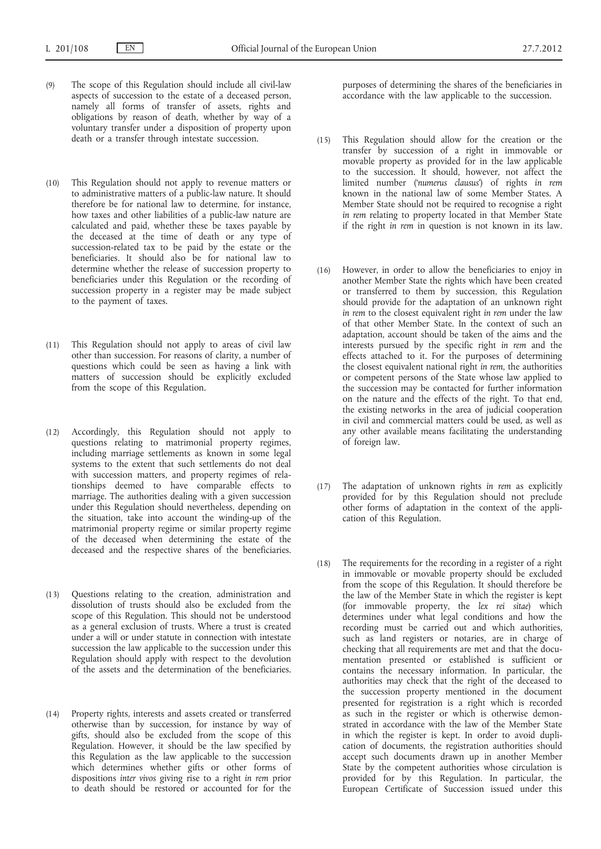- (9) The scope of this Regulation should include all civil-law aspects of succession to the estate of a deceased person, namely all forms of transfer of assets, rights and obligations by reason of death, whether by way of a voluntary transfer under a disposition of property upon death or a transfer through intestate succession.
- (10) This Regulation should not apply to revenue matters or to administrative matters of a public-law nature. It should therefore be for national law to determine, for instance, how taxes and other liabilities of a public-law nature are calculated and paid, whether these be taxes payable by the deceased at the time of death or any type of succession-related tax to be paid by the estate or the beneficiaries. It should also be for national law to determine whether the release of succession property to beneficiaries under this Regulation or the recording of succession property in a register may be made subject to the payment of taxes.
- (11) This Regulation should not apply to areas of civil law other than succession. For reasons of clarity, a number of questions which could be seen as having a link with matters of succession should be explicitly excluded from the scope of this Regulation.
- (12) Accordingly, this Regulation should not apply to questions relating to matrimonial property regimes, including marriage settlements as known in some legal systems to the extent that such settlements do not deal with succession matters, and property regimes of relationships deemed to have comparable effects to marriage. The authorities dealing with a given succession under this Regulation should nevertheless, depending on the situation, take into account the winding-up of the matrimonial property regime or similar property regime of the deceased when determining the estate of the deceased and the respective shares of the beneficiaries.
- (13) Questions relating to the creation, administration and dissolution of trusts should also be excluded from the scope of this Regulation. This should not be understood as a general exclusion of trusts. Where a trust is created under a will or under statute in connection with intestate succession the law applicable to the succession under this Regulation should apply with respect to the devolution of the assets and the determination of the beneficiaries.
- (14) Property rights, interests and assets created or transferred otherwise than by succession, for instance by way of gifts, should also be excluded from the scope of this Regulation. However, it should be the law specified by this Regulation as the law applicable to the succession which determines whether gifts or other forms of dispositions *inter vivos* giving rise to a right *in rem* prior to death should be restored or accounted for for the

purposes of determining the shares of the beneficiaries in accordance with the law applicable to the succession.

- (15) This Regulation should allow for the creation or the transfer by succession of a right in immovable or movable property as provided for in the law applicable to the succession. It should, however, not affect the limited number ('*numerus clausus*') of rights *in rem* known in the national law of some Member States. A Member State should not be required to recognise a right *in rem* relating to property located in that Member State if the right *in rem* in question is not known in its law.
- (16) However, in order to allow the beneficiaries to enjoy in another Member State the rights which have been created or transferred to them by succession, this Regulation should provide for the adaptation of an unknown right *in rem* to the closest equivalent right *in rem* under the law of that other Member State. In the context of such an adaptation, account should be taken of the aims and the interests pursued by the specific right *in rem* and the effects attached to it. For the purposes of determining the closest equivalent national right *in rem*, the authorities or competent persons of the State whose law applied to the succession may be contacted for further information on the nature and the effects of the right. To that end, the existing networks in the area of judicial cooperation in civil and commercial matters could be used, as well as any other available means facilitating the understanding of foreign law.
- (17) The adaptation of unknown rights *in rem* as explicitly provided for by this Regulation should not preclude other forms of adaptation in the context of the application of this Regulation.
- (18) The requirements for the recording in a register of a right in immovable or movable property should be excluded from the scope of this Regulation. It should therefore be the law of the Member State in which the register is kept (for immovable property, the *lex rei sitae*) which determines under what legal conditions and how the recording must be carried out and which authorities, such as land registers or notaries, are in charge of checking that all requirements are met and that the documentation presented or established is sufficient or contains the necessary information. In particular, the authorities may check that the right of the deceased to the succession property mentioned in the document presented for registration is a right which is recorded as such in the register or which is otherwise demonstrated in accordance with the law of the Member State in which the register is kept. In order to avoid duplication of documents, the registration authorities should accept such documents drawn up in another Member State by the competent authorities whose circulation is provided for by this Regulation. In particular, the European Certificate of Succession issued under this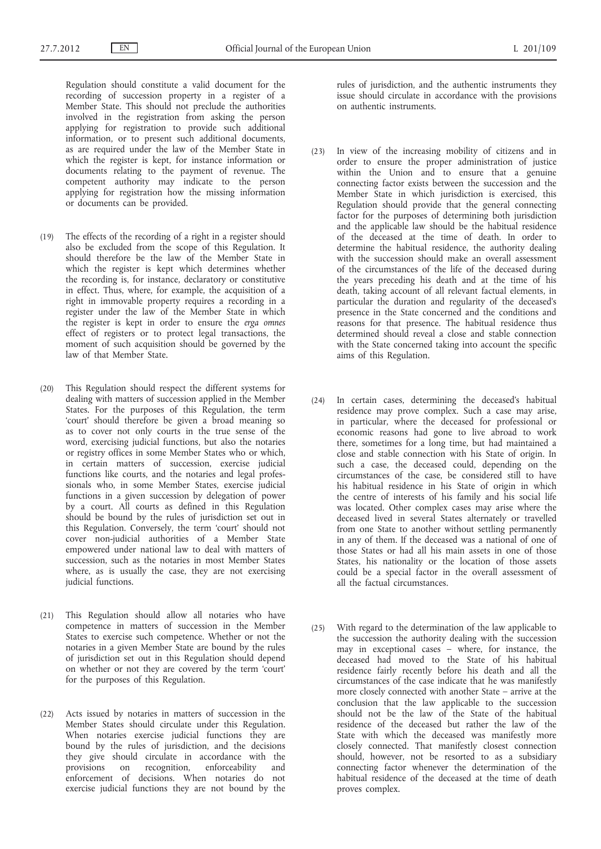Regulation should constitute a valid document for the recording of succession property in a register of a Member State. This should not preclude the authorities involved in the registration from asking the person applying for registration to provide such additional information, or to present such additional documents, as are required under the law of the Member State in which the register is kept, for instance information or documents relating to the payment of revenue. The competent authority may indicate to the person applying for registration how the missing information or documents can be provided.

- (19) The effects of the recording of a right in a register should also be excluded from the scope of this Regulation. It should therefore be the law of the Member State in which the register is kept which determines whether the recording is, for instance, declaratory or constitutive in effect. Thus, where, for example, the acquisition of a right in immovable property requires a recording in a register under the law of the Member State in which the register is kept in order to ensure the *erga omnes* effect of registers or to protect legal transactions, the moment of such acquisition should be governed by the law of that Member State.
- (20) This Regulation should respect the different systems for dealing with matters of succession applied in the Member States. For the purposes of this Regulation, the term 'court' should therefore be given a broad meaning so as to cover not only courts in the true sense of the word, exercising judicial functions, but also the notaries or registry offices in some Member States who or which, in certain matters of succession, exercise judicial functions like courts, and the notaries and legal professionals who, in some Member States, exercise judicial functions in a given succession by delegation of power by a court. All courts as defined in this Regulation should be bound by the rules of jurisdiction set out in this Regulation. Conversely, the term 'court' should not cover non-judicial authorities of a Member State empowered under national law to deal with matters of succession, such as the notaries in most Member States where, as is usually the case, they are not exercising judicial functions.
- (21) This Regulation should allow all notaries who have competence in matters of succession in the Member States to exercise such competence. Whether or not the notaries in a given Member State are bound by the rules of jurisdiction set out in this Regulation should depend on whether or not they are covered by the term 'court' for the purposes of this Regulation.
- (22) Acts issued by notaries in matters of succession in the Member States should circulate under this Regulation. When notaries exercise judicial functions they are bound by the rules of jurisdiction, and the decisions they give should circulate in accordance with the provisions on recognition, enforceability and enforcement of decisions. When notaries do not exercise judicial functions they are not bound by the

rules of jurisdiction, and the authentic instruments they issue should circulate in accordance with the provisions on authentic instruments.

- (23) In view of the increasing mobility of citizens and in order to ensure the proper administration of justice within the Union and to ensure that a genuine connecting factor exists between the succession and the Member State in which jurisdiction is exercised, this Regulation should provide that the general connecting factor for the purposes of determining both jurisdiction and the applicable law should be the habitual residence of the deceased at the time of death. In order to determine the habitual residence, the authority dealing with the succession should make an overall assessment of the circumstances of the life of the deceased during the years preceding his death and at the time of his death, taking account of all relevant factual elements, in particular the duration and regularity of the deceased's presence in the State concerned and the conditions and reasons for that presence. The habitual residence thus determined should reveal a close and stable connection with the State concerned taking into account the specific aims of this Regulation.
- (24) In certain cases, determining the deceased's habitual residence may prove complex. Such a case may arise, in particular, where the deceased for professional or economic reasons had gone to live abroad to work there, sometimes for a long time, but had maintained a close and stable connection with his State of origin. In such a case, the deceased could, depending on the circumstances of the case, be considered still to have his habitual residence in his State of origin in which the centre of interests of his family and his social life was located. Other complex cases may arise where the deceased lived in several States alternately or travelled from one State to another without settling permanently in any of them. If the deceased was a national of one of those States or had all his main assets in one of those States, his nationality or the location of those assets could be a special factor in the overall assessment of all the factual circumstances.
- (25) With regard to the determination of the law applicable to the succession the authority dealing with the succession may in exceptional cases  $-$  where, for instance, the deceased had moved to the State of his habitual residence fairly recently before his death and all the circumstances of the case indicate that he was manifestly more closely connected with another State – arrive at the conclusion that the law applicable to the succession should not be the law of the State of the habitual residence of the deceased but rather the law of the State with which the deceased was manifestly more closely connected. That manifestly closest connection should, however, not be resorted to as a subsidiary connecting factor whenever the determination of the habitual residence of the deceased at the time of death proves complex.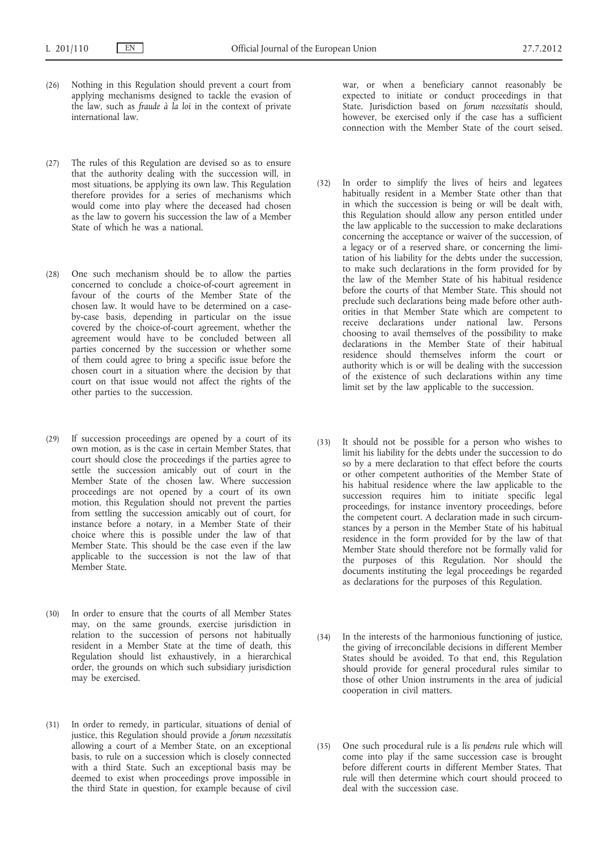- (26) Nothing in this Regulation should prevent a court from applying mechanisms designed to tackle the evasion of the law, such as *fraude à la loi* in the context of private international law.
- (27) The rules of this Regulation are devised so as to ensure that the authority dealing with the succession will, in most situations, be applying its own law. This Regulation therefore provides for a series of mechanisms which would come into play where the deceased had chosen as the law to govern his succession the law of a Member State of which he was a national.
- (28) One such mechanism should be to allow the parties concerned to conclude a choice-of-court agreement in favour of the courts of the Member State of the chosen law. It would have to be determined on a caseby-case basis, depending in particular on the issue covered by the choice-of-court agreement, whether the agreement would have to be concluded between all parties concerned by the succession or whether some of them could agree to bring a specific issue before the chosen court in a situation where the decision by that court on that issue would not affect the rights of the other parties to the succession.
- (29) If succession proceedings are opened by a court of its own motion, as is the case in certain Member States, that court should close the proceedings if the parties agree to settle the succession amicably out of court in the Member State of the chosen law. Where succession proceedings are not opened by a court of its own motion, this Regulation should not prevent the parties from settling the succession amicably out of court, for instance before a notary, in a Member State of their choice where this is possible under the law of that Member State. This should be the case even if the law applicable to the succession is not the law of that Member State.
- (30) In order to ensure that the courts of all Member States may, on the same grounds, exercise jurisdiction in relation to the succession of persons not habitually resident in a Member State at the time of death, this Regulation should list exhaustively, in a hierarchical order, the grounds on which such subsidiary jurisdiction may be exercised.
- (31) In order to remedy, in particular, situations of denial of justice, this Regulation should provide a *forum necessitatis* allowing a court of a Member State, on an exceptional basis, to rule on a succession which is closely connected with a third State. Such an exceptional basis may be deemed to exist when proceedings prove impossible in the third State in question, for example because of civil

war, or when a beneficiary cannot reasonably be expected to initiate or conduct proceedings in that State. Jurisdiction based on *forum necessitatis* should, however, be exercised only if the case has a sufficient connection with the Member State of the court seised.

- (32) In order to simplify the lives of heirs and legatees habitually resident in a Member State other than that in which the succession is being or will be dealt with, this Regulation should allow any person entitled under the law applicable to the succession to make declarations concerning the acceptance or waiver of the succession, of a legacy or of a reserved share, or concerning the limitation of his liability for the debts under the succession, to make such declarations in the form provided for by the law of the Member State of his habitual residence before the courts of that Member State. This should not preclude such declarations being made before other authorities in that Member State which are competent to receive declarations under national law. Persons choosing to avail themselves of the possibility to make declarations in the Member State of their habitual residence should themselves inform the court or authority which is or will be dealing with the succession of the existence of such declarations within any time limit set by the law applicable to the succession.
- (33) It should not be possible for a person who wishes to limit his liability for the debts under the succession to do so by a mere declaration to that effect before the courts or other competent authorities of the Member State of his habitual residence where the law applicable to the succession requires him to initiate specific legal proceedings, for instance inventory proceedings, before the competent court. A declaration made in such circumstances by a person in the Member State of his habitual residence in the form provided for by the law of that Member State should therefore not be formally valid for the purposes of this Regulation. Nor should the documents instituting the legal proceedings be regarded as declarations for the purposes of this Regulation.
- (34) In the interests of the harmonious functioning of justice, the giving of irreconcilable decisions in different Member States should be avoided. To that end, this Regulation should provide for general procedural rules similar to those of other Union instruments in the area of judicial cooperation in civil matters.
- (35) One such procedural rule is a *lis pendens* rule which will come into play if the same succession case is brought before different courts in different Member States. That rule will then determine which court should proceed to deal with the succession case.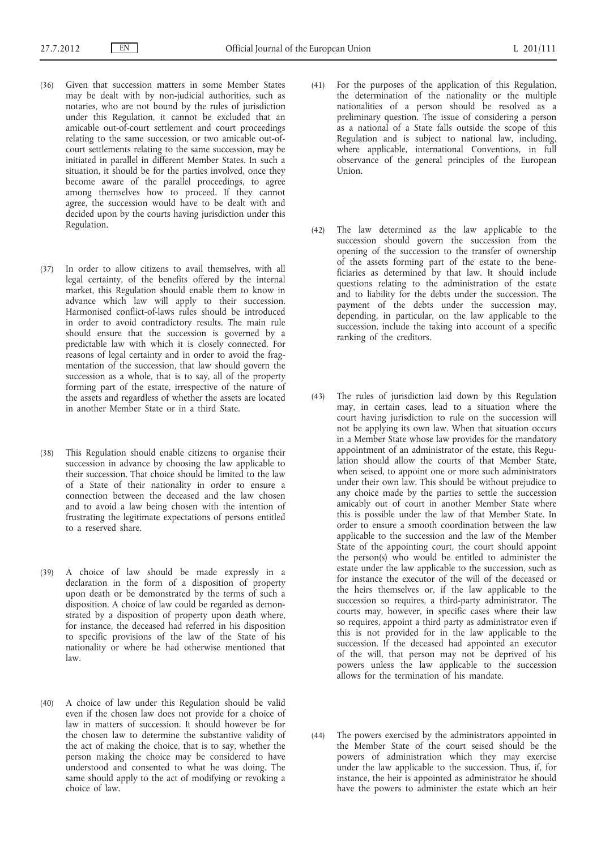- (36) Given that succession matters in some Member States may be dealt with by non-judicial authorities, such as notaries, who are not bound by the rules of jurisdiction under this Regulation, it cannot be excluded that an amicable out-of-court settlement and court proceedings relating to the same succession, or two amicable out-ofcourt settlements relating to the same succession, may be initiated in parallel in different Member States. In such a situation, it should be for the parties involved, once they become aware of the parallel proceedings, to agree among themselves how to proceed. If they cannot agree, the succession would have to be dealt with and decided upon by the courts having jurisdiction under this Regulation.
- (37) In order to allow citizens to avail themselves, with all legal certainty, of the benefits offered by the internal market, this Regulation should enable them to know in advance which law will apply to their succession. Harmonised conflict-of-laws rules should be introduced in order to avoid contradictory results. The main rule should ensure that the succession is governed by a predictable law with which it is closely connected. For reasons of legal certainty and in order to avoid the fragmentation of the succession, that law should govern the succession as a whole, that is to say, all of the property forming part of the estate, irrespective of the nature of the assets and regardless of whether the assets are located in another Member State or in a third State.
- (38) This Regulation should enable citizens to organise their succession in advance by choosing the law applicable to their succession. That choice should be limited to the law of a State of their nationality in order to ensure a connection between the deceased and the law chosen and to avoid a law being chosen with the intention of frustrating the legitimate expectations of persons entitled to a reserved share.
- (39) A choice of law should be made expressly in a declaration in the form of a disposition of property upon death or be demonstrated by the terms of such a disposition. A choice of law could be regarded as demonstrated by a disposition of property upon death where, for instance, the deceased had referred in his disposition to specific provisions of the law of the State of his nationality or where he had otherwise mentioned that law.
- (40) A choice of law under this Regulation should be valid even if the chosen law does not provide for a choice of law in matters of succession. It should however be for the chosen law to determine the substantive validity of the act of making the choice, that is to say, whether the person making the choice may be considered to have understood and consented to what he was doing. The same should apply to the act of modifying or revoking a choice of law.
- (41) For the purposes of the application of this Regulation, the determination of the nationality or the multiple nationalities of a person should be resolved as a preliminary question. The issue of considering a person as a national of a State falls outside the scope of this Regulation and is subject to national law, including, where applicable, international Conventions, in full observance of the general principles of the European Union.
- (42) The law determined as the law applicable to the succession should govern the succession from the opening of the succession to the transfer of ownership of the assets forming part of the estate to the beneficiaries as determined by that law. It should include questions relating to the administration of the estate and to liability for the debts under the succession. The payment of the debts under the succession may, depending, in particular, on the law applicable to the succession, include the taking into account of a specific ranking of the creditors.
- (43) The rules of jurisdiction laid down by this Regulation may, in certain cases, lead to a situation where the court having jurisdiction to rule on the succession will not be applying its own law. When that situation occurs in a Member State whose law provides for the mandatory appointment of an administrator of the estate, this Regulation should allow the courts of that Member State, when seised, to appoint one or more such administrators under their own law. This should be without prejudice to any choice made by the parties to settle the succession amicably out of court in another Member State where this is possible under the law of that Member State. In order to ensure a smooth coordination between the law applicable to the succession and the law of the Member State of the appointing court, the court should appoint the person(s) who would be entitled to administer the estate under the law applicable to the succession, such as for instance the executor of the will of the deceased or the heirs themselves or, if the law applicable to the succession so requires, a third-party administrator. The courts may, however, in specific cases where their law so requires, appoint a third party as administrator even if this is not provided for in the law applicable to the succession. If the deceased had appointed an executor of the will, that person may not be deprived of his powers unless the law applicable to the succession allows for the termination of his mandate.
- (44) The powers exercised by the administrators appointed in the Member State of the court seised should be the powers of administration which they may exercise under the law applicable to the succession. Thus, if, for instance, the heir is appointed as administrator he should have the powers to administer the estate which an heir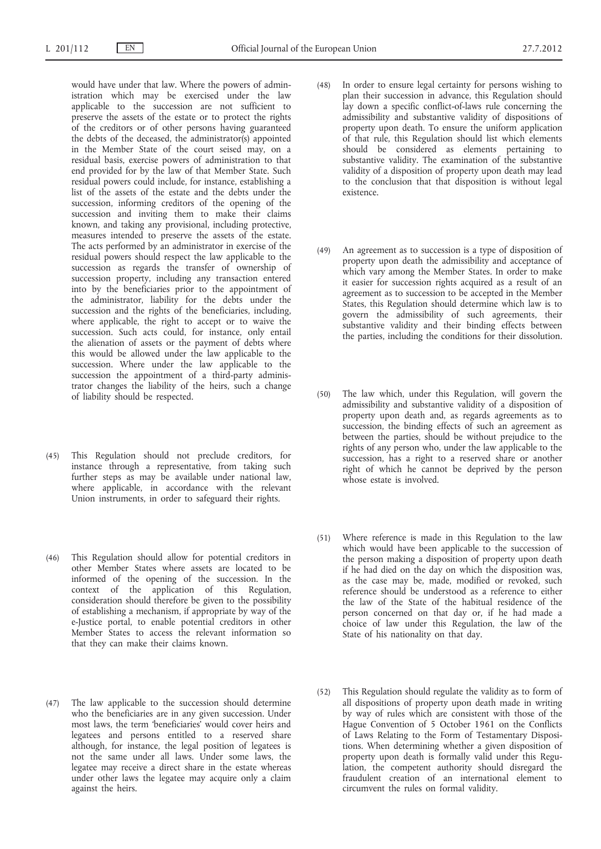would have under that law. Where the powers of administration which may be exercised under the law applicable to the succession are not sufficient to preserve the assets of the estate or to protect the rights of the creditors or of other persons having guaranteed the debts of the deceased, the administrator(s) appointed in the Member State of the court seised may, on a residual basis, exercise powers of administration to that end provided for by the law of that Member State. Such residual powers could include, for instance, establishing a list of the assets of the estate and the debts under the succession, informing creditors of the opening of the succession and inviting them to make their claims known, and taking any provisional, including protective, measures intended to preserve the assets of the estate. The acts performed by an administrator in exercise of the residual powers should respect the law applicable to the succession as regards the transfer of ownership of succession property, including any transaction entered into by the beneficiaries prior to the appointment of the administrator, liability for the debts under the succession and the rights of the beneficiaries, including, where applicable, the right to accept or to waive the succession. Such acts could, for instance, only entail the alienation of assets or the payment of debts where this would be allowed under the law applicable to the succession. Where under the law applicable to the succession the appointment of a third-party administrator changes the liability of the heirs, such a change of liability should be respected.

- (45) This Regulation should not preclude creditors, for instance through a representative, from taking such further steps as may be available under national law, where applicable, in accordance with the relevant Union instruments, in order to safeguard their rights.
- (46) This Regulation should allow for potential creditors in other Member States where assets are located to be informed of the opening of the succession. In the context of the application of this Regulation, consideration should therefore be given to the possibility of establishing a mechanism, if appropriate by way of the e-Justice portal, to enable potential creditors in other Member States to access the relevant information so that they can make their claims known.
- (47) The law applicable to the succession should determine who the beneficiaries are in any given succession. Under most laws, the term 'beneficiaries' would cover heirs and legatees and persons entitled to a reserved share although, for instance, the legal position of legatees is not the same under all laws. Under some laws, the legatee may receive a direct share in the estate whereas under other laws the legatee may acquire only a claim against the heirs.
- (48) In order to ensure legal certainty for persons wishing to plan their succession in advance, this Regulation should lay down a specific conflict-of-laws rule concerning the admissibility and substantive validity of dispositions of property upon death. To ensure the uniform application of that rule, this Regulation should list which elements should be considered as elements pertaining to substantive validity. The examination of the substantive validity of a disposition of property upon death may lead to the conclusion that that disposition is without legal existence.
- (49) An agreement as to succession is a type of disposition of property upon death the admissibility and acceptance of which vary among the Member States. In order to make it easier for succession rights acquired as a result of an agreement as to succession to be accepted in the Member States, this Regulation should determine which law is to govern the admissibility of such agreements, their substantive validity and their binding effects between the parties, including the conditions for their dissolution.
- (50) The law which, under this Regulation, will govern the admissibility and substantive validity of a disposition of property upon death and, as regards agreements as to succession, the binding effects of such an agreement as between the parties, should be without prejudice to the rights of any person who, under the law applicable to the succession, has a right to a reserved share or another right of which he cannot be deprived by the person whose estate is involved.
- (51) Where reference is made in this Regulation to the law which would have been applicable to the succession of the person making a disposition of property upon death if he had died on the day on which the disposition was, as the case may be, made, modified or revoked, such reference should be understood as a reference to either the law of the State of the habitual residence of the person concerned on that day or, if he had made a choice of law under this Regulation, the law of the State of his nationality on that day.
- (52) This Regulation should regulate the validity as to form of all dispositions of property upon death made in writing by way of rules which are consistent with those of the Hague Convention of 5 October 1961 on the Conflicts of Laws Relating to the Form of Testamentary Dispositions. When determining whether a given disposition of property upon death is formally valid under this Regulation, the competent authority should disregard the fraudulent creation of an international element to circumvent the rules on formal validity.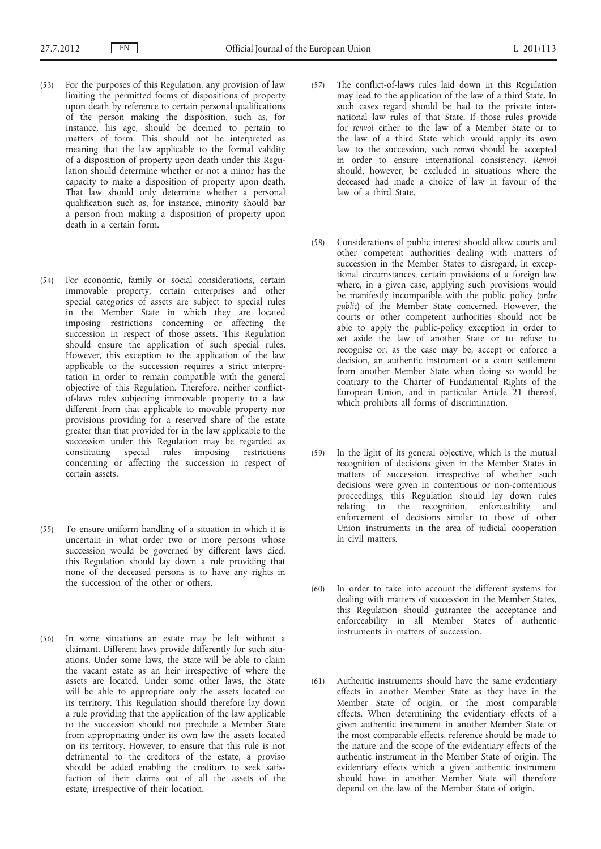- (53) For the purposes of this Regulation, any provision of law limiting the permitted forms of dispositions of property upon death by reference to certain personal qualifications of the person making the disposition, such as, for instance, his age, should be deemed to pertain to matters of form. This should not be interpreted as meaning that the law applicable to the formal validity of a disposition of property upon death under this Regulation should determine whether or not a minor has the capacity to make a disposition of property upon death. That law should only determine whether a personal qualification such as, for instance, minority should bar a person from making a disposition of property upon death in a certain form.
- (54) For economic, family or social considerations, certain immovable property, certain enterprises and other special categories of assets are subject to special rules in the Member State in which they are located imposing restrictions concerning or affecting the succession in respect of those assets. This Regulation should ensure the application of such special rules. However, this exception to the application of the law applicable to the succession requires a strict interpretation in order to remain compatible with the general objective of this Regulation. Therefore, neither conflictof-laws rules subjecting immovable property to a law different from that applicable to movable property nor provisions providing for a reserved share of the estate greater than that provided for in the law applicable to the succession under this Regulation may be regarded as constituting special rules imposing restrictions concerning or affecting the succession in respect of certain assets.
- (55) To ensure uniform handling of a situation in which it is uncertain in what order two or more persons whose succession would be governed by different laws died, this Regulation should lay down a rule providing that none of the deceased persons is to have any rights in the succession of the other or others.
- (56) In some situations an estate may be left without a claimant. Different laws provide differently for such situations. Under some laws, the State will be able to claim the vacant estate as an heir irrespective of where the assets are located. Under some other laws, the State will be able to appropriate only the assets located on its territory. This Regulation should therefore lay down a rule providing that the application of the law applicable to the succession should not preclude a Member State from appropriating under its own law the assets located on its territory. However, to ensure that this rule is not detrimental to the creditors of the estate, a proviso should be added enabling the creditors to seek satisfaction of their claims out of all the assets of the estate, irrespective of their location.
- (57) The conflict-of-laws rules laid down in this Regulation may lead to the application of the law of a third State. In such cases regard should be had to the private international law rules of that State. If those rules provide for *renvoi* either to the law of a Member State or to the law of a third State which would apply its own law to the succession, such *renvoi* should be accepted in order to ensure international consistency. *Renvoi* should, however, be excluded in situations where the deceased had made a choice of law in favour of the law of a third State.
- (58) Considerations of public interest should allow courts and other competent authorities dealing with matters of succession in the Member States to disregard, in exceptional circumstances, certain provisions of a foreign law where, in a given case, applying such provisions would be manifestly incompatible with the public policy (*ordre public*) of the Member State concerned. However, the courts or other competent authorities should not be able to apply the public-policy exception in order to set aside the law of another State or to refuse to recognise or, as the case may be, accept or enforce a decision, an authentic instrument or a court settlement from another Member State when doing so would be contrary to the Charter of Fundamental Rights of the European Union, and in particular Article 21 thereof, which prohibits all forms of discrimination.
- (59) In the light of its general objective, which is the mutual recognition of decisions given in the Member States in matters of succession, irrespective of whether such decisions were given in contentious or non-contentious proceedings, this Regulation should lay down rules relating to the recognition, enforceability and enforcement of decisions similar to those of other Union instruments in the area of judicial cooperation in civil matters.
- (60) In order to take into account the different systems for dealing with matters of succession in the Member States, this Regulation should guarantee the acceptance and enforceability in all Member States of authentic instruments in matters of succession.
- (61) Authentic instruments should have the same evidentiary effects in another Member State as they have in the Member State of origin, or the most comparable effects. When determining the evidentiary effects of a given authentic instrument in another Member State or the most comparable effects, reference should be made to the nature and the scope of the evidentiary effects of the authentic instrument in the Member State of origin. The evidentiary effects which a given authentic instrument should have in another Member State will therefore depend on the law of the Member State of origin.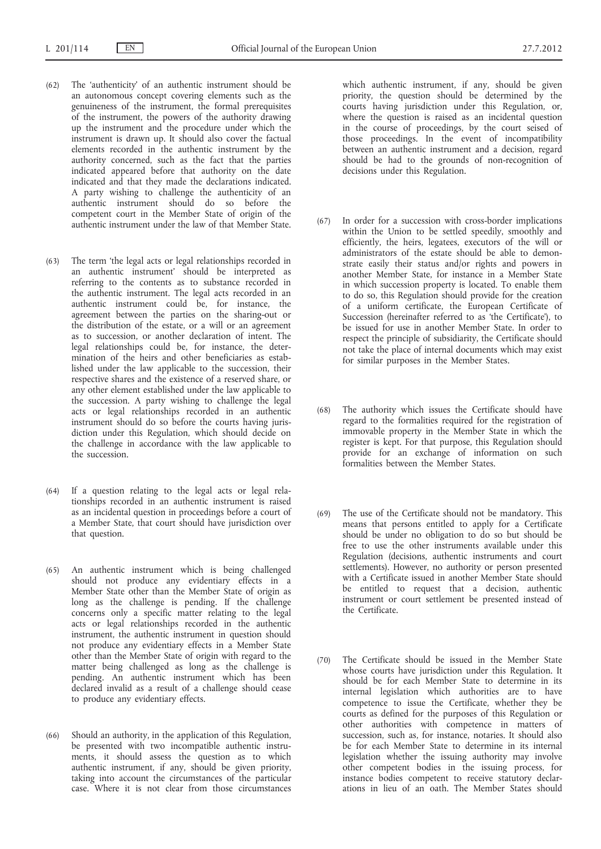- (62) The 'authenticity' of an authentic instrument should be an autonomous concept covering elements such as the genuineness of the instrument, the formal prerequisites of the instrument, the powers of the authority drawing up the instrument and the procedure under which the instrument is drawn up. It should also cover the factual elements recorded in the authentic instrument by the authority concerned, such as the fact that the parties indicated appeared before that authority on the date indicated and that they made the declarations indicated. A party wishing to challenge the authenticity of an authentic instrument should do so before the competent court in the Member State of origin of the authentic instrument under the law of that Member State.
- (63) The term 'the legal acts or legal relationships recorded in an authentic instrument' should be interpreted as referring to the contents as to substance recorded in the authentic instrument. The legal acts recorded in an authentic instrument could be, for instance, the agreement between the parties on the sharing-out or the distribution of the estate, or a will or an agreement as to succession, or another declaration of intent. The legal relationships could be, for instance, the determination of the heirs and other beneficiaries as established under the law applicable to the succession, their respective shares and the existence of a reserved share, or any other element established under the law applicable to the succession. A party wishing to challenge the legal acts or legal relationships recorded in an authentic instrument should do so before the courts having jurisdiction under this Regulation, which should decide on the challenge in accordance with the law applicable to the succession.
- (64) If a question relating to the legal acts or legal relationships recorded in an authentic instrument is raised as an incidental question in proceedings before a court of a Member State, that court should have jurisdiction over that question.
- (65) An authentic instrument which is being challenged should not produce any evidentiary effects in a Member State other than the Member State of origin as long as the challenge is pending. If the challenge concerns only a specific matter relating to the legal acts or legal relationships recorded in the authentic instrument, the authentic instrument in question should not produce any evidentiary effects in a Member State other than the Member State of origin with regard to the matter being challenged as long as the challenge is pending. An authentic instrument which has been declared invalid as a result of a challenge should cease to produce any evidentiary effects.
- (66) Should an authority, in the application of this Regulation, be presented with two incompatible authentic instruments, it should assess the question as to which authentic instrument, if any, should be given priority, taking into account the circumstances of the particular case. Where it is not clear from those circumstances

which authentic instrument, if any, should be given priority, the question should be determined by the courts having jurisdiction under this Regulation, or, where the question is raised as an incidental question in the course of proceedings, by the court seised of those proceedings. In the event of incompatibility between an authentic instrument and a decision, regard should be had to the grounds of non-recognition of decisions under this Regulation.

- (67) In order for a succession with cross-border implications within the Union to be settled speedily, smoothly and efficiently, the heirs, legatees, executors of the will or administrators of the estate should be able to demonstrate easily their status and/or rights and powers in another Member State, for instance in a Member State in which succession property is located. To enable them to do so, this Regulation should provide for the creation of a uniform certificate, the European Certificate of Succession (hereinafter referred to as 'the Certificate'), to be issued for use in another Member State. In order to respect the principle of subsidiarity, the Certificate should not take the place of internal documents which may exist for similar purposes in the Member States.
- (68) The authority which issues the Certificate should have regard to the formalities required for the registration of immovable property in the Member State in which the register is kept. For that purpose, this Regulation should provide for an exchange of information on such formalities between the Member States.
- (69) The use of the Certificate should not be mandatory. This means that persons entitled to apply for a Certificate should be under no obligation to do so but should be free to use the other instruments available under this Regulation (decisions, authentic instruments and court settlements). However, no authority or person presented with a Certificate issued in another Member State should be entitled to request that a decision, authentic instrument or court settlement be presented instead of the Certificate.
- (70) The Certificate should be issued in the Member State whose courts have jurisdiction under this Regulation. It should be for each Member State to determine in its internal legislation which authorities are to have competence to issue the Certificate, whether they be courts as defined for the purposes of this Regulation or other authorities with competence in matters of succession, such as, for instance, notaries. It should also be for each Member State to determine in its internal legislation whether the issuing authority may involve other competent bodies in the issuing process, for instance bodies competent to receive statutory declarations in lieu of an oath. The Member States should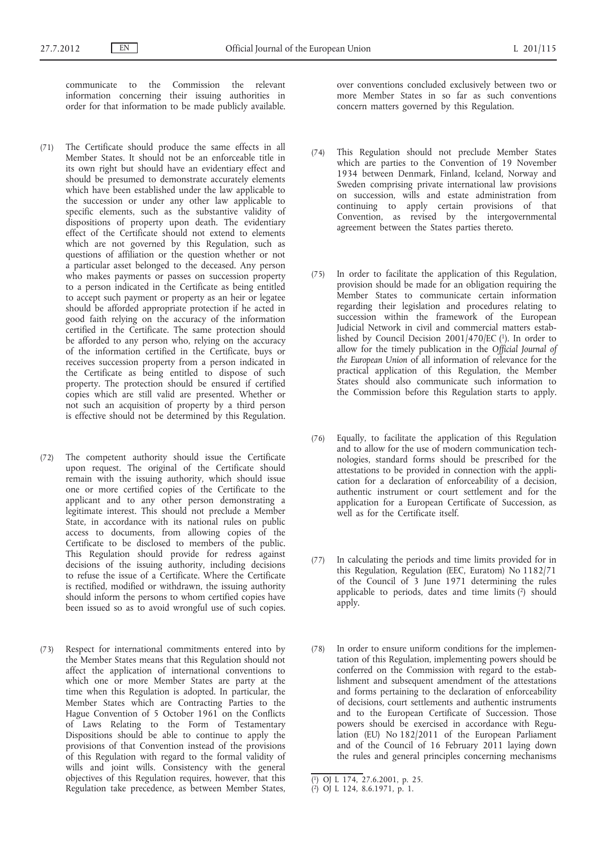communicate to the Commission the relevant information concerning their issuing authorities in order for that information to be made publicly available.

- (71) The Certificate should produce the same effects in all Member States. It should not be an enforceable title in its own right but should have an evidentiary effect and should be presumed to demonstrate accurately elements which have been established under the law applicable to the succession or under any other law applicable to specific elements, such as the substantive validity of dispositions of property upon death. The evidentiary effect of the Certificate should not extend to elements which are not governed by this Regulation, such as questions of affiliation or the question whether or not a particular asset belonged to the deceased. Any person who makes payments or passes on succession property to a person indicated in the Certificate as being entitled to accept such payment or property as an heir or legatee should be afforded appropriate protection if he acted in good faith relying on the accuracy of the information certified in the Certificate. The same protection should be afforded to any person who, relying on the accuracy of the information certified in the Certificate, buys or receives succession property from a person indicated in the Certificate as being entitled to dispose of such property. The protection should be ensured if certified copies which are still valid are presented. Whether or not such an acquisition of property by a third person is effective should not be determined by this Regulation.
- (72) The competent authority should issue the Certificate upon request. The original of the Certificate should remain with the issuing authority, which should issue one or more certified copies of the Certificate to the applicant and to any other person demonstrating a legitimate interest. This should not preclude a Member State, in accordance with its national rules on public access to documents, from allowing copies of the Certificate to be disclosed to members of the public. This Regulation should provide for redress against decisions of the issuing authority, including decisions to refuse the issue of a Certificate. Where the Certificate is rectified, modified or withdrawn, the issuing authority should inform the persons to whom certified copies have been issued so as to avoid wrongful use of such copies.
- (73) Respect for international commitments entered into by the Member States means that this Regulation should not affect the application of international conventions to which one or more Member States are party at the time when this Regulation is adopted. In particular, the Member States which are Contracting Parties to the Hague Convention of 5 October 1961 on the Conflicts of Laws Relating to the Form of Testamentary Dispositions should be able to continue to apply the provisions of that Convention instead of the provisions of this Regulation with regard to the formal validity of wills and joint wills. Consistency with the general objectives of this Regulation requires, however, that this Regulation take precedence, as between Member States,

over conventions concluded exclusively between two or more Member States in so far as such conventions concern matters governed by this Regulation.

- (74) This Regulation should not preclude Member States which are parties to the Convention of 19 November 1934 between Denmark, Finland, Iceland, Norway and Sweden comprising private international law provisions on succession, wills and estate administration from continuing to apply certain provisions of that Convention, as revised by the intergovernmental agreement between the States parties thereto.
- (75) In order to facilitate the application of this Regulation, provision should be made for an obligation requiring the Member States to communicate certain information regarding their legislation and procedures relating to succession within the framework of the European Judicial Network in civil and commercial matters established by Council Decision 2001/470/EC (1). In order to allow for the timely publication in the *Official Journal of the European Union* of all information of relevance for the practical application of this Regulation, the Member States should also communicate such information to the Commission before this Regulation starts to apply.
- (76) Equally, to facilitate the application of this Regulation and to allow for the use of modern communication technologies, standard forms should be prescribed for the attestations to be provided in connection with the application for a declaration of enforceability of a decision, authentic instrument or court settlement and for the application for a European Certificate of Succession, as well as for the Certificate itself.
- (77) In calculating the periods and time limits provided for in this Regulation, Regulation (EEC, Euratom) No 1182/71 of the Council of 3 June 1971 determining the rules applicable to periods, dates and time limits (2) should apply.
- (78) In order to ensure uniform conditions for the implementation of this Regulation, implementing powers should be conferred on the Commission with regard to the establishment and subsequent amendment of the attestations and forms pertaining to the declaration of enforceability of decisions, court settlements and authentic instruments and to the European Certificate of Succession. Those powers should be exercised in accordance with Regulation (EU) No 182/2011 of the European Parliament and of the Council of 16 February 2011 laying down the rules and general principles concerning mechanisms

<sup>(</sup> 1) OJ L 174, 27.6.2001, p. 25.

<sup>(</sup> 2) OJ L 124, 8.6.1971, p. 1.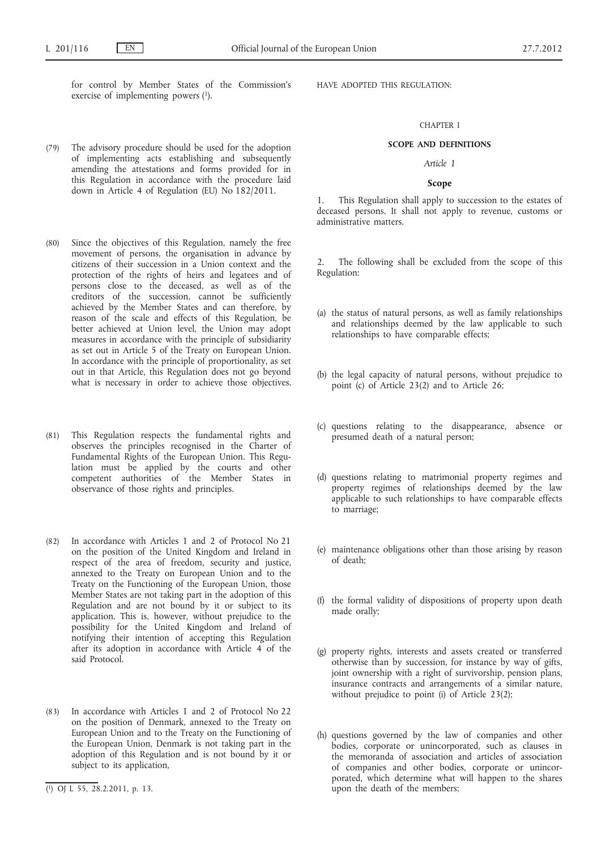for control by Member States of the Commission's exercise of implementing powers (1).

- (79) The advisory procedure should be used for the adoption of implementing acts establishing and subsequently amending the attestations and forms provided for in this Regulation in accordance with the procedure laid down in Article 4 of Regulation (EU) No 182/2011.
- (80) Since the objectives of this Regulation, namely the free movement of persons, the organisation in advance by citizens of their succession in a Union context and the protection of the rights of heirs and legatees and of persons close to the deceased, as well as of the creditors of the succession, cannot be sufficiently achieved by the Member States and can therefore, by reason of the scale and effects of this Regulation, be better achieved at Union level, the Union may adopt measures in accordance with the principle of subsidiarity as set out in Article 5 of the Treaty on European Union. In accordance with the principle of proportionality, as set out in that Article, this Regulation does not go beyond what is necessary in order to achieve those objectives.
- (81) This Regulation respects the fundamental rights and observes the principles recognised in the Charter of Fundamental Rights of the European Union. This Regulation must be applied by the courts and other competent authorities of the Member States in observance of those rights and principles.
- (82) In accordance with Articles 1 and 2 of Protocol No 21 on the position of the United Kingdom and Ireland in respect of the area of freedom, security and justice, annexed to the Treaty on European Union and to the Treaty on the Functioning of the European Union, those Member States are not taking part in the adoption of this Regulation and are not bound by it or subject to its application. This is, however, without prejudice to the possibility for the United Kingdom and Ireland of notifying their intention of accepting this Regulation after its adoption in accordance with Article 4 of the said Protocol.
- (83) In accordance with Articles 1 and 2 of Protocol No 22 on the position of Denmark, annexed to the Treaty on European Union and to the Treaty on the Functioning of the European Union, Denmark is not taking part in the adoption of this Regulation and is not bound by it or subject to its application,

HAVE ADOPTED THIS REGULATION:

#### CHAPTER I

## **SCOPE AND DEFINITIONS**

## *Article 1*

#### **Scope**

This Regulation shall apply to succession to the estates of deceased persons. It shall not apply to revenue, customs or administrative matters.

2. The following shall be excluded from the scope of this Regulation:

- (a) the status of natural persons, as well as family relationships and relationships deemed by the law applicable to such relationships to have comparable effects;
- (b) the legal capacity of natural persons, without prejudice to point (c) of Article 23(2) and to Article 26;
- (c) questions relating to the disappearance, absence or presumed death of a natural person;
- (d) questions relating to matrimonial property regimes and property regimes of relationships deemed by the law applicable to such relationships to have comparable effects to marriage;
- (e) maintenance obligations other than those arising by reason of death;
- (f) the formal validity of dispositions of property upon death made orally;
- (g) property rights, interests and assets created or transferred otherwise than by succession, for instance by way of gifts, joint ownership with a right of survivorship, pension plans, insurance contracts and arrangements of a similar nature, without prejudice to point (i) of Article 23(2);
- (h) questions governed by the law of companies and other bodies, corporate or unincorporated, such as clauses in the memoranda of association and articles of association of companies and other bodies, corporate or unincorporated, which determine what will happen to the shares upon the death of the members;

<sup>(</sup> 1) OJ L 55, 28.2.2011, p. 13.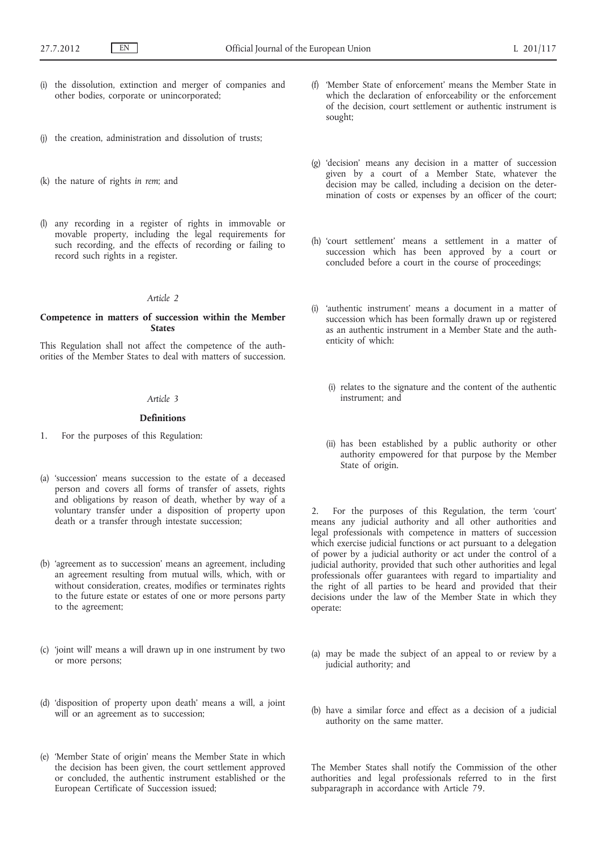- (i) the dissolution, extinction and merger of companies and other bodies, corporate or unincorporated;
- (j) the creation, administration and dissolution of trusts;
- (k) the nature of rights *in rem*; and
- (l) any recording in a register of rights in immovable or movable property, including the legal requirements for such recording, and the effects of recording or failing to record such rights in a register.

## **Competence in matters of succession within the Member States**

This Regulation shall not affect the competence of the authorities of the Member States to deal with matters of succession.

#### *Article 3*

# **Definitions**

- 1. For the purposes of this Regulation:
- (a) 'succession' means succession to the estate of a deceased person and covers all forms of transfer of assets, rights and obligations by reason of death, whether by way of a voluntary transfer under a disposition of property upon death or a transfer through intestate succession;
- (b) 'agreement as to succession' means an agreement, including an agreement resulting from mutual wills, which, with or without consideration, creates, modifies or terminates rights to the future estate or estates of one or more persons party to the agreement;
- (c) 'joint will' means a will drawn up in one instrument by two or more persons;
- (d) 'disposition of property upon death' means a will, a joint will or an agreement as to succession;
- (e) 'Member State of origin' means the Member State in which the decision has been given, the court settlement approved or concluded, the authentic instrument established or the European Certificate of Succession issued;
- (f) 'Member State of enforcement' means the Member State in which the declaration of enforceability or the enforcement of the decision, court settlement or authentic instrument is sought;
- (g) 'decision' means any decision in a matter of succession given by a court of a Member State, whatever the decision may be called, including a decision on the determination of costs or expenses by an officer of the court;
- (h) 'court settlement' means a settlement in a matter of succession which has been approved by a court or concluded before a court in the course of proceedings;
- (i) 'authentic instrument' means a document in a matter of succession which has been formally drawn up or registered as an authentic instrument in a Member State and the authenticity of which:
	- (i) relates to the signature and the content of the authentic instrument; and
	- (ii) has been established by a public authority or other authority empowered for that purpose by the Member State of origin.

2. For the purposes of this Regulation, the term 'court' means any judicial authority and all other authorities and legal professionals with competence in matters of succession which exercise judicial functions or act pursuant to a delegation of power by a judicial authority or act under the control of a judicial authority, provided that such other authorities and legal professionals offer guarantees with regard to impartiality and the right of all parties to be heard and provided that their decisions under the law of the Member State in which they operate:

- (a) may be made the subject of an appeal to or review by a judicial authority; and
- (b) have a similar force and effect as a decision of a judicial authority on the same matter.

The Member States shall notify the Commission of the other authorities and legal professionals referred to in the first subparagraph in accordance with Article 79.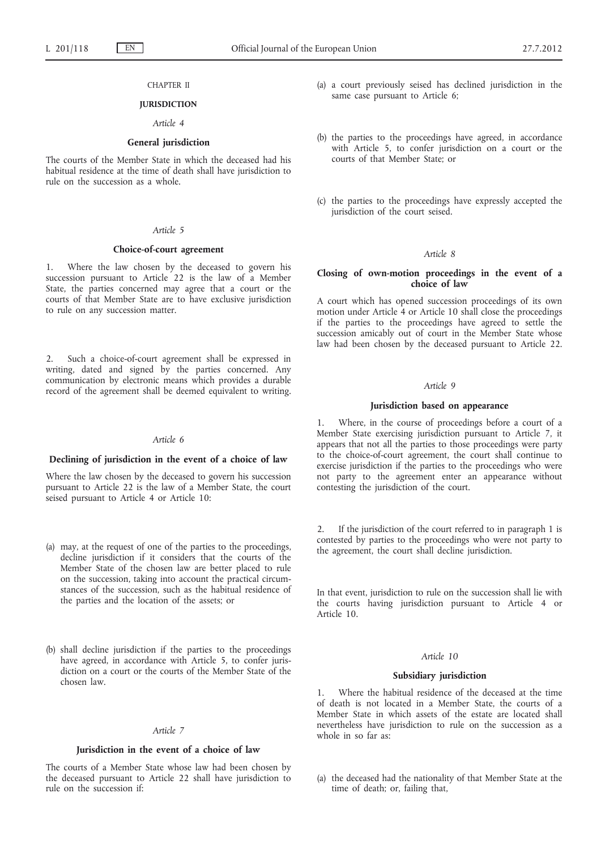# CHAPTER II

# **JURISDICTION**

### *Article 4*

# **General jurisdiction**

The courts of the Member State in which the deceased had his habitual residence at the time of death shall have jurisdiction to rule on the succession as a whole.

## *Article 5*

## **Choice-of-court agreement**

1. Where the law chosen by the deceased to govern his succession pursuant to Article 22 is the law of a Member State, the parties concerned may agree that a court or the courts of that Member State are to have exclusive jurisdiction to rule on any succession matter.

2. Such a choice-of-court agreement shall be expressed in writing, dated and signed by the parties concerned. Any communication by electronic means which provides a durable record of the agreement shall be deemed equivalent to writing.

## *Article 6*

# **Declining of jurisdiction in the event of a choice of law**

Where the law chosen by the deceased to govern his succession pursuant to Article 22 is the law of a Member State, the court seised pursuant to Article 4 or Article 10:

- (a) may, at the request of one of the parties to the proceedings, decline jurisdiction if it considers that the courts of the Member State of the chosen law are better placed to rule on the succession, taking into account the practical circumstances of the succession, such as the habitual residence of the parties and the location of the assets; or
- (b) shall decline jurisdiction if the parties to the proceedings have agreed, in accordance with Article 5, to confer jurisdiction on a court or the courts of the Member State of the chosen law.

#### *Article 7*

#### **Jurisdiction in the event of a choice of law**

The courts of a Member State whose law had been chosen by the deceased pursuant to Article 22 shall have jurisdiction to rule on the succession if:

- (a) a court previously seised has declined jurisdiction in the same case pursuant to Article 6;
- (b) the parties to the proceedings have agreed, in accordance with Article 5, to confer jurisdiction on a court or the courts of that Member State; or
- (c) the parties to the proceedings have expressly accepted the jurisdiction of the court seised.

## *Article 8*

## **Closing of own-motion proceedings in the event of a choice of law**

A court which has opened succession proceedings of its own motion under Article 4 or Article 10 shall close the proceedings if the parties to the proceedings have agreed to settle the succession amicably out of court in the Member State whose law had been chosen by the deceased pursuant to Article 22.

## *Article 9*

#### **Jurisdiction based on appearance**

Where, in the course of proceedings before a court of a Member State exercising jurisdiction pursuant to Article 7, it appears that not all the parties to those proceedings were party to the choice-of-court agreement, the court shall continue to exercise jurisdiction if the parties to the proceedings who were not party to the agreement enter an appearance without contesting the jurisdiction of the court.

If the jurisdiction of the court referred to in paragraph 1 is contested by parties to the proceedings who were not party to the agreement, the court shall decline jurisdiction.

In that event, jurisdiction to rule on the succession shall lie with the courts having jurisdiction pursuant to Article 4 or Article 10.

#### *Article 10*

#### **Subsidiary jurisdiction**

Where the habitual residence of the deceased at the time of death is not located in a Member State, the courts of a Member State in which assets of the estate are located shall nevertheless have jurisdiction to rule on the succession as a whole in so far as:

(a) the deceased had the nationality of that Member State at the time of death; or, failing that,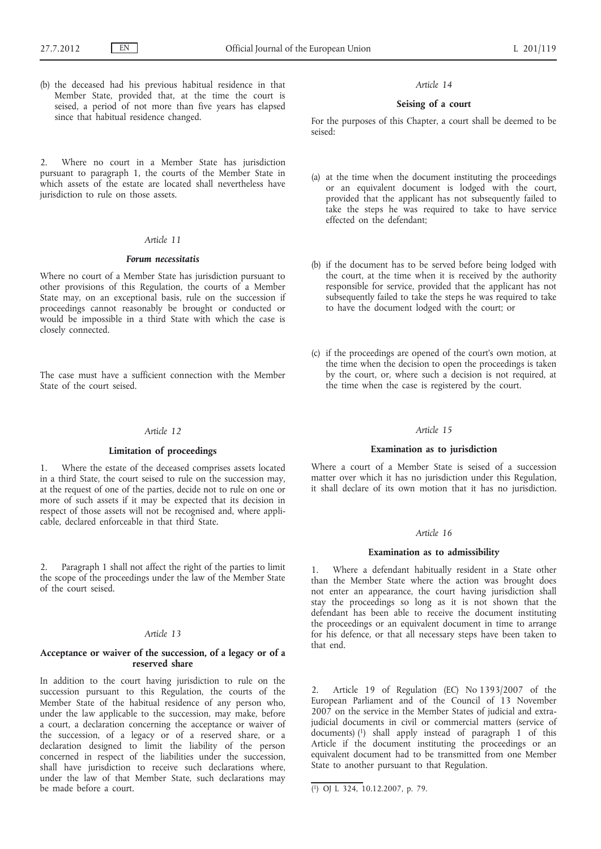(b) the deceased had his previous habitual residence in that Member State, provided that, at the time the court is seised, a period of not more than five years has elapsed since that habitual residence changed.

2. Where no court in a Member State has jurisdiction pursuant to paragraph 1, the courts of the Member State in which assets of the estate are located shall nevertheless have jurisdiction to rule on those assets.

## *Article 11*

#### *Forum necessitatis*

Where no court of a Member State has jurisdiction pursuant to other provisions of this Regulation, the courts of a Member State may, on an exceptional basis, rule on the succession if proceedings cannot reasonably be brought or conducted or would be impossible in a third State with which the case is closely connected.

The case must have a sufficient connection with the Member State of the court seised.

#### *Article 12*

## **Limitation of proceedings**

1. Where the estate of the deceased comprises assets located in a third State, the court seised to rule on the succession may, at the request of one of the parties, decide not to rule on one or more of such assets if it may be expected that its decision in respect of those assets will not be recognised and, where applicable, declared enforceable in that third State.

2. Paragraph 1 shall not affect the right of the parties to limit the scope of the proceedings under the law of the Member State of the court seised.

## *Article 13*

## **Acceptance or waiver of the succession, of a legacy or of a reserved share**

In addition to the court having jurisdiction to rule on the succession pursuant to this Regulation, the courts of the Member State of the habitual residence of any person who, under the law applicable to the succession, may make, before a court, a declaration concerning the acceptance or waiver of the succession, of a legacy or of a reserved share, or a declaration designed to limit the liability of the person concerned in respect of the liabilities under the succession, shall have jurisdiction to receive such declarations where, under the law of that Member State, such declarations may be made before a court.

#### *Article 14*

## **Seising of a court**

For the purposes of this Chapter, a court shall be deemed to be seised:

- (a) at the time when the document instituting the proceedings or an equivalent document is lodged with the court, provided that the applicant has not subsequently failed to take the steps he was required to take to have service effected on the defendant;
- (b) if the document has to be served before being lodged with the court, at the time when it is received by the authority responsible for service, provided that the applicant has not subsequently failed to take the steps he was required to take to have the document lodged with the court; or
- (c) if the proceedings are opened of the court's own motion, at the time when the decision to open the proceedings is taken by the court, or, where such a decision is not required, at the time when the case is registered by the court.

## *Article 15*

#### **Examination as to jurisdiction**

Where a court of a Member State is seised of a succession matter over which it has no jurisdiction under this Regulation, it shall declare of its own motion that it has no jurisdiction.

#### *Article 16*

#### **Examination as to admissibility**

1. Where a defendant habitually resident in a State other than the Member State where the action was brought does not enter an appearance, the court having jurisdiction shall stay the proceedings so long as it is not shown that the defendant has been able to receive the document instituting the proceedings or an equivalent document in time to arrange for his defence, or that all necessary steps have been taken to that end.

2. Article 19 of Regulation (EC) No 1393/2007 of the European Parliament and of the Council of 13 November 2007 on the service in the Member States of judicial and extrajudicial documents in civil or commercial matters (service of documents) (1) shall apply instead of paragraph 1 of this Article if the document instituting the proceedings or an equivalent document had to be transmitted from one Member State to another pursuant to that Regulation.

<sup>(</sup> 1) OJ L 324, 10.12.2007, p. 79.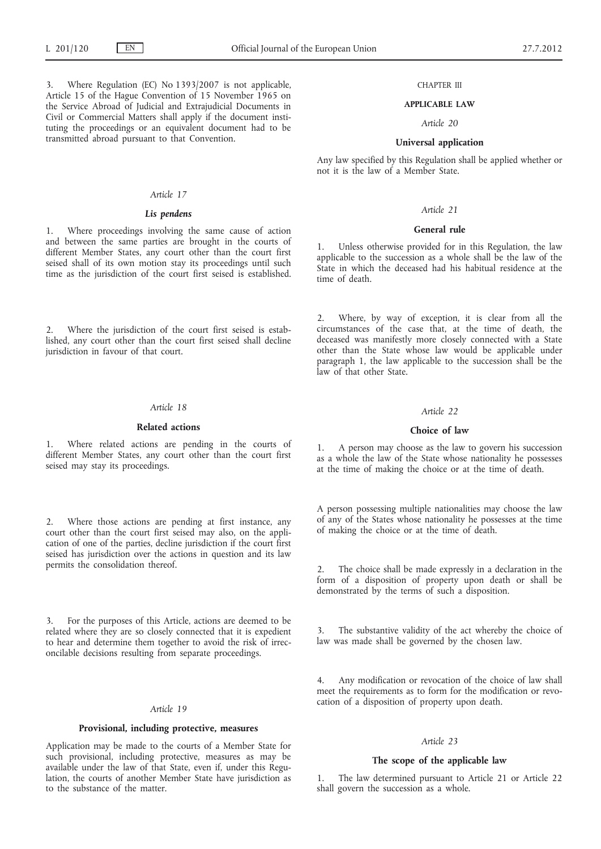Where Regulation (EC) No 1393/2007 is not applicable, Article 15 of the Hague Convention of 15 November 1965 on the Service Abroad of Judicial and Extrajudicial Documents in Civil or Commercial Matters shall apply if the document instituting the proceedings or an equivalent document had to be transmitted abroad pursuant to that Convention.

#### *Article 17*

#### *Lis pendens*

Where proceedings involving the same cause of action and between the same parties are brought in the courts of different Member States, any court other than the court first seised shall of its own motion stay its proceedings until such time as the jurisdiction of the court first seised is established.

2. Where the jurisdiction of the court first seised is established, any court other than the court first seised shall decline jurisdiction in favour of that court.

#### *Article 18*

#### **Related actions**

1. Where related actions are pending in the courts of different Member States, any court other than the court first seised may stay its proceedings.

2. Where those actions are pending at first instance, any court other than the court first seised may also, on the application of one of the parties, decline jurisdiction if the court first seised has jurisdiction over the actions in question and its law permits the consolidation thereof.

3. For the purposes of this Article, actions are deemed to be related where they are so closely connected that it is expedient to hear and determine them together to avoid the risk of irreconcilable decisions resulting from separate proceedings.

# *Article 19*

## **Provisional, including protective, measures**

Application may be made to the courts of a Member State for such provisional, including protective, measures as may be available under the law of that State, even if, under this Regulation, the courts of another Member State have jurisdiction as to the substance of the matter.

#### CHAPTER III

## **APPLICABLE LAW**

#### *Article 20*

## **Universal application**

Any law specified by this Regulation shall be applied whether or not it is the law of a Member State.

# *Article 21*

# **General rule**

1. Unless otherwise provided for in this Regulation, the law applicable to the succession as a whole shall be the law of the State in which the deceased had his habitual residence at the time of death.

2. Where, by way of exception, it is clear from all the circumstances of the case that, at the time of death, the deceased was manifestly more closely connected with a State other than the State whose law would be applicable under paragraph 1, the law applicable to the succession shall be the law of that other State.

#### *Article 22*

#### **Choice of law**

1. A person may choose as the law to govern his succession as a whole the law of the State whose nationality he possesses at the time of making the choice or at the time of death.

A person possessing multiple nationalities may choose the law of any of the States whose nationality he possesses at the time of making the choice or at the time of death.

The choice shall be made expressly in a declaration in the form of a disposition of property upon death or shall be demonstrated by the terms of such a disposition.

The substantive validity of the act whereby the choice of law was made shall be governed by the chosen law.

4. Any modification or revocation of the choice of law shall meet the requirements as to form for the modification or revocation of a disposition of property upon death.

## *Article 23*

## **The scope of the applicable law**

The law determined pursuant to Article 21 or Article 22 shall govern the succession as a whole.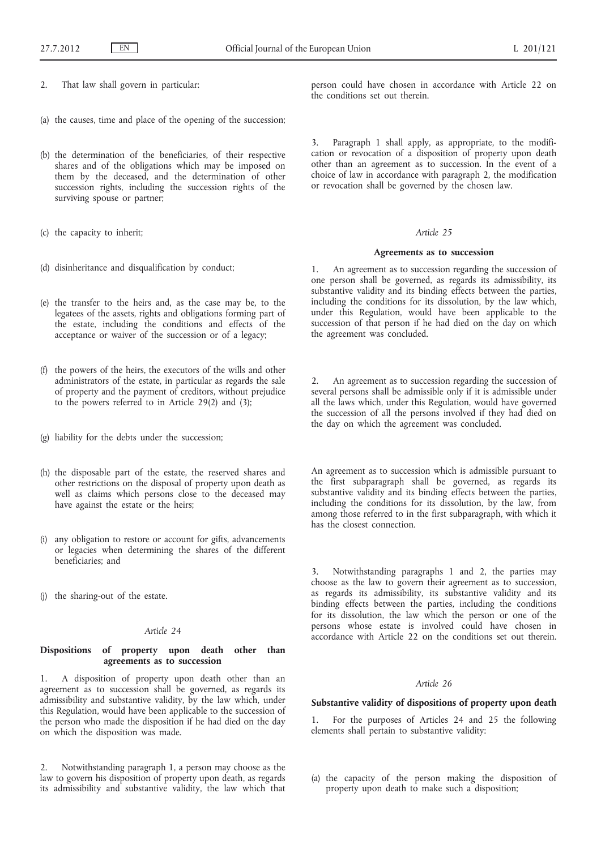- 2. That law shall govern in particular:
- (a) the causes, time and place of the opening of the succession;
- (b) the determination of the beneficiaries, of their respective shares and of the obligations which may be imposed on them by the deceased, and the determination of other succession rights, including the succession rights of the surviving spouse or partner;
- (c) the capacity to inherit;
- (d) disinheritance and disqualification by conduct;
- (e) the transfer to the heirs and, as the case may be, to the legatees of the assets, rights and obligations forming part of the estate, including the conditions and effects of the acceptance or waiver of the succession or of a legacy;
- (f) the powers of the heirs, the executors of the wills and other administrators of the estate, in particular as regards the sale of property and the payment of creditors, without prejudice to the powers referred to in Article 29(2) and  $(3)$ ;
- (g) liability for the debts under the succession;
- (h) the disposable part of the estate, the reserved shares and other restrictions on the disposal of property upon death as well as claims which persons close to the deceased may have against the estate or the heirs;
- (i) any obligation to restore or account for gifts, advancements or legacies when determining the shares of the different beneficiaries; and
- (j) the sharing-out of the estate.

## **Dispositions of property upon death other than agreements as to succession**

1. A disposition of property upon death other than an agreement as to succession shall be governed, as regards its admissibility and substantive validity, by the law which, under this Regulation, would have been applicable to the succession of the person who made the disposition if he had died on the day on which the disposition was made.

2. Notwithstanding paragraph 1, a person may choose as the law to govern his disposition of property upon death, as regards its admissibility and substantive validity, the law which that person could have chosen in accordance with Article 22 on the conditions set out therein.

3. Paragraph 1 shall apply, as appropriate, to the modification or revocation of a disposition of property upon death other than an agreement as to succession. In the event of a choice of law in accordance with paragraph 2, the modification or revocation shall be governed by the chosen law.

## *Article 25*

#### **Agreements as to succession**

1. An agreement as to succession regarding the succession of one person shall be governed, as regards its admissibility, its substantive validity and its binding effects between the parties, including the conditions for its dissolution, by the law which, under this Regulation, would have been applicable to the succession of that person if he had died on the day on which the agreement was concluded.

2. An agreement as to succession regarding the succession of several persons shall be admissible only if it is admissible under all the laws which, under this Regulation, would have governed the succession of all the persons involved if they had died on the day on which the agreement was concluded.

An agreement as to succession which is admissible pursuant to the first subparagraph shall be governed, as regards its substantive validity and its binding effects between the parties, including the conditions for its dissolution, by the law, from among those referred to in the first subparagraph, with which it has the closest connection.

3. Notwithstanding paragraphs 1 and 2, the parties may choose as the law to govern their agreement as to succession, as regards its admissibility, its substantive validity and its binding effects between the parties, including the conditions for its dissolution, the law which the person or one of the persons whose estate is involved could have chosen in accordance with Article 22 on the conditions set out therein.

#### *Article 26*

## **Substantive validity of dispositions of property upon death**

1. For the purposes of Articles 24 and 25 the following elements shall pertain to substantive validity:

(a) the capacity of the person making the disposition of property upon death to make such a disposition;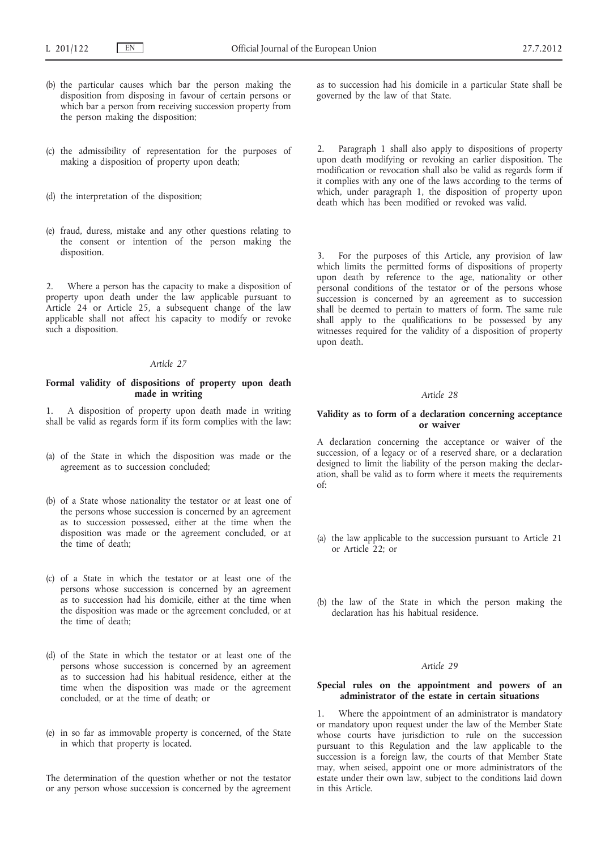- (b) the particular causes which bar the person making the disposition from disposing in favour of certain persons or which bar a person from receiving succession property from the person making the disposition;
- (c) the admissibility of representation for the purposes of making a disposition of property upon death;
- (d) the interpretation of the disposition;
- (e) fraud, duress, mistake and any other questions relating to the consent or intention of the person making the disposition.

2. Where a person has the capacity to make a disposition of property upon death under the law applicable pursuant to Article 24 or Article 25, a subsequent change of the law applicable shall not affect his capacity to modify or revoke such a disposition.

#### *Article 27*

## **Formal validity of dispositions of property upon death made in writing**

1. A disposition of property upon death made in writing shall be valid as regards form if its form complies with the law:

- (a) of the State in which the disposition was made or the agreement as to succession concluded;
- (b) of a State whose nationality the testator or at least one of the persons whose succession is concerned by an agreement as to succession possessed, either at the time when the disposition was made or the agreement concluded, or at the time of death;
- (c) of a State in which the testator or at least one of the persons whose succession is concerned by an agreement as to succession had his domicile, either at the time when the disposition was made or the agreement concluded, or at the time of death;
- (d) of the State in which the testator or at least one of the persons whose succession is concerned by an agreement as to succession had his habitual residence, either at the time when the disposition was made or the agreement concluded, or at the time of death; or
- (e) in so far as immovable property is concerned, of the State in which that property is located.

The determination of the question whether or not the testator or any person whose succession is concerned by the agreement as to succession had his domicile in a particular State shall be governed by the law of that State.

2. Paragraph 1 shall also apply to dispositions of property upon death modifying or revoking an earlier disposition. The modification or revocation shall also be valid as regards form if it complies with any one of the laws according to the terms of which, under paragraph 1, the disposition of property upon death which has been modified or revoked was valid.

3. For the purposes of this Article, any provision of law which limits the permitted forms of dispositions of property upon death by reference to the age, nationality or other personal conditions of the testator or of the persons whose succession is concerned by an agreement as to succession shall be deemed to pertain to matters of form. The same rule shall apply to the qualifications to be possessed by any witnesses required for the validity of a disposition of property upon death.

# *Article 28*

# **Validity as to form of a declaration concerning acceptance or waiver**

A declaration concerning the acceptance or waiver of the succession, of a legacy or of a reserved share, or a declaration designed to limit the liability of the person making the declaration, shall be valid as to form where it meets the requirements of:

- (a) the law applicable to the succession pursuant to Article 21 or Article 22; or
- (b) the law of the State in which the person making the declaration has his habitual residence.

## *Article 29*

#### **Special rules on the appointment and powers of an administrator of the estate in certain situations**

1. Where the appointment of an administrator is mandatory or mandatory upon request under the law of the Member State whose courts have jurisdiction to rule on the succession pursuant to this Regulation and the law applicable to the succession is a foreign law, the courts of that Member State may, when seised, appoint one or more administrators of the estate under their own law, subject to the conditions laid down in this Article.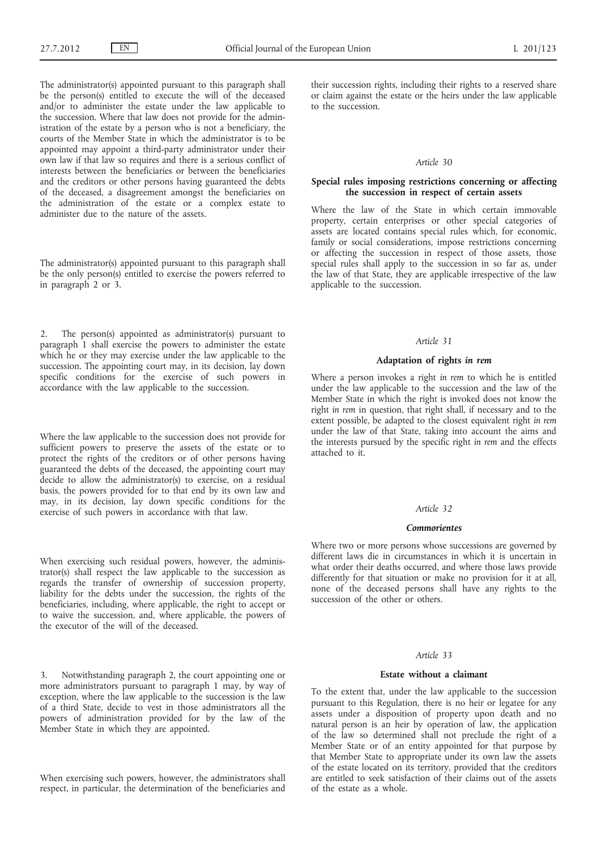The administrator(s) appointed pursuant to this paragraph shall be the person(s) entitled to execute the will of the deceased and/or to administer the estate under the law applicable to the succession. Where that law does not provide for the administration of the estate by a person who is not a beneficiary, the courts of the Member State in which the administrator is to be appointed may appoint a third-party administrator under their own law if that law so requires and there is a serious conflict of interests between the beneficiaries or between the beneficiaries and the creditors or other persons having guaranteed the debts of the deceased, a disagreement amongst the beneficiaries on the administration of the estate or a complex estate to administer due to the nature of the assets.

The administrator(s) appointed pursuant to this paragraph shall be the only person(s) entitled to exercise the powers referred to in paragraph 2 or 3.

2. The person(s) appointed as administrator(s) pursuant to paragraph 1 shall exercise the powers to administer the estate which he or they may exercise under the law applicable to the succession. The appointing court may, in its decision, lay down specific conditions for the exercise of such powers in accordance with the law applicable to the succession.

Where the law applicable to the succession does not provide for sufficient powers to preserve the assets of the estate or to protect the rights of the creditors or of other persons having guaranteed the debts of the deceased, the appointing court may decide to allow the administrator(s) to exercise, on a residual basis, the powers provided for to that end by its own law and may, in its decision, lay down specific conditions for the exercise of such powers in accordance with that law.

When exercising such residual powers, however, the administrator(s) shall respect the law applicable to the succession as regards the transfer of ownership of succession property, liability for the debts under the succession, the rights of the beneficiaries, including, where applicable, the right to accept or to waive the succession, and, where applicable, the powers of the executor of the will of the deceased.

3. Notwithstanding paragraph 2, the court appointing one or more administrators pursuant to paragraph 1 may, by way of exception, where the law applicable to the succession is the law of a third State, decide to vest in those administrators all the powers of administration provided for by the law of the Member State in which they are appointed.

When exercising such powers, however, the administrators shall respect, in particular, the determination of the beneficiaries and their succession rights, including their rights to a reserved share or claim against the estate or the heirs under the law applicable to the succession.

#### *Article 30*

## **Special rules imposing restrictions concerning or affecting the succession in respect of certain assets**

Where the law of the State in which certain immovable property, certain enterprises or other special categories of assets are located contains special rules which, for economic, family or social considerations, impose restrictions concerning or affecting the succession in respect of those assets, those special rules shall apply to the succession in so far as, under the law of that State, they are applicable irrespective of the law applicable to the succession.

## *Article 31*

## **Adaptation of rights** *in rem*

Where a person invokes a right *in rem* to which he is entitled under the law applicable to the succession and the law of the Member State in which the right is invoked does not know the right *in rem* in question, that right shall, if necessary and to the extent possible, be adapted to the closest equivalent right *in rem* under the law of that State, taking into account the aims and the interests pursued by the specific right *in rem* and the effects attached to it.

#### *Article 32*

#### *Commorientes*

Where two or more persons whose successions are governed by different laws die in circumstances in which it is uncertain in what order their deaths occurred, and where those laws provide differently for that situation or make no provision for it at all, none of the deceased persons shall have any rights to the succession of the other or others.

# *Article 33*

#### **Estate without a claimant**

To the extent that, under the law applicable to the succession pursuant to this Regulation, there is no heir or legatee for any assets under a disposition of property upon death and no natural person is an heir by operation of law, the application of the law so determined shall not preclude the right of a Member State or of an entity appointed for that purpose by that Member State to appropriate under its own law the assets of the estate located on its territory, provided that the creditors are entitled to seek satisfaction of their claims out of the assets of the estate as a whole.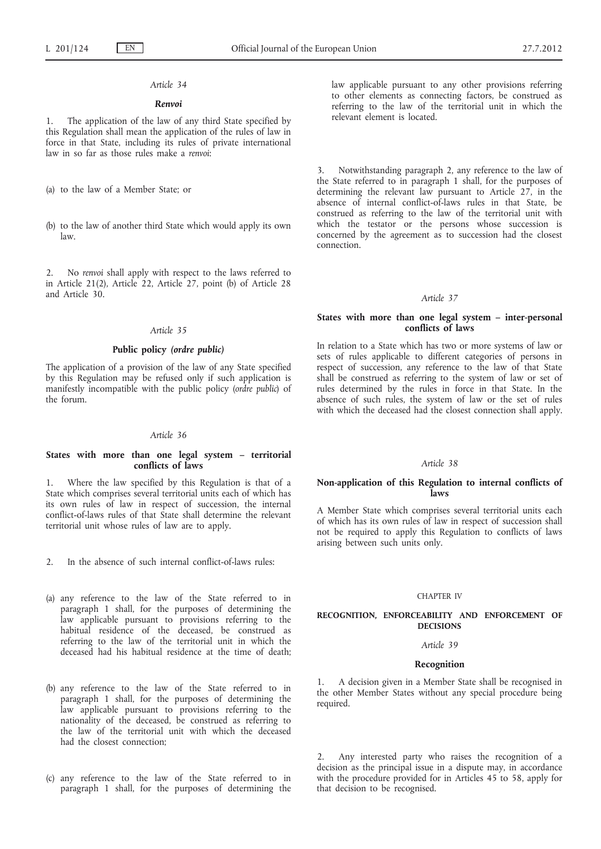## *Renvoi*

1. The application of the law of any third State specified by this Regulation shall mean the application of the rules of law in force in that State, including its rules of private international law in so far as those rules make a *renvoi*:

(a) to the law of a Member State; or

(b) to the law of another third State which would apply its own law.

2. No *renvoi* shall apply with respect to the laws referred to in Article 21(2), Article 22, Article 27, point (b) of Article 28 and Article 30.

#### *Article 35*

#### **Public policy** *(ordre public)*

The application of a provision of the law of any State specified by this Regulation may be refused only if such application is manifestly incompatible with the public policy (*ordre public*) of the forum.

#### *Article 36*

#### **States with more than one legal system – territorial conflicts of laws**

1. Where the law specified by this Regulation is that of a State which comprises several territorial units each of which has its own rules of law in respect of succession, the internal conflict-of-laws rules of that State shall determine the relevant territorial unit whose rules of law are to apply.

- 2. In the absence of such internal conflict-of-laws rules:
- (a) any reference to the law of the State referred to in paragraph 1 shall, for the purposes of determining the law applicable pursuant to provisions referring to the habitual residence of the deceased, be construed as referring to the law of the territorial unit in which the deceased had his habitual residence at the time of death;
- (b) any reference to the law of the State referred to in paragraph 1 shall, for the purposes of determining the law applicable pursuant to provisions referring to the nationality of the deceased, be construed as referring to the law of the territorial unit with which the deceased had the closest connection;
- (c) any reference to the law of the State referred to in paragraph 1 shall, for the purposes of determining the

law applicable pursuant to any other provisions referring to other elements as connecting factors, be construed as referring to the law of the territorial unit in which the relevant element is located.

3. Notwithstanding paragraph 2, any reference to the law of the State referred to in paragraph 1 shall, for the purposes of determining the relevant law pursuant to Article 27, in the absence of internal conflict-of-laws rules in that State, be construed as referring to the law of the territorial unit with which the testator or the persons whose succession is concerned by the agreement as to succession had the closest connection.

#### *Article 37*

## **States with more than one legal system – inter-personal conflicts of laws**

In relation to a State which has two or more systems of law or sets of rules applicable to different categories of persons in respect of succession, any reference to the law of that State shall be construed as referring to the system of law or set of rules determined by the rules in force in that State. In the absence of such rules, the system of law or the set of rules with which the deceased had the closest connection shall apply.

## *Article 38*

## **Non-application of this Regulation to internal conflicts of laws**

A Member State which comprises several territorial units each of which has its own rules of law in respect of succession shall not be required to apply this Regulation to conflicts of laws arising between such units only.

#### CHAPTER IV

# **RECOGNITION, ENFORCEABILITY AND ENFORCEMENT OF DECISIONS**

# *Article 39*

#### **Recognition**

1. A decision given in a Member State shall be recognised in the other Member States without any special procedure being required.

Any interested party who raises the recognition of a decision as the principal issue in a dispute may, in accordance with the procedure provided for in Articles 45 to 58, apply for that decision to be recognised.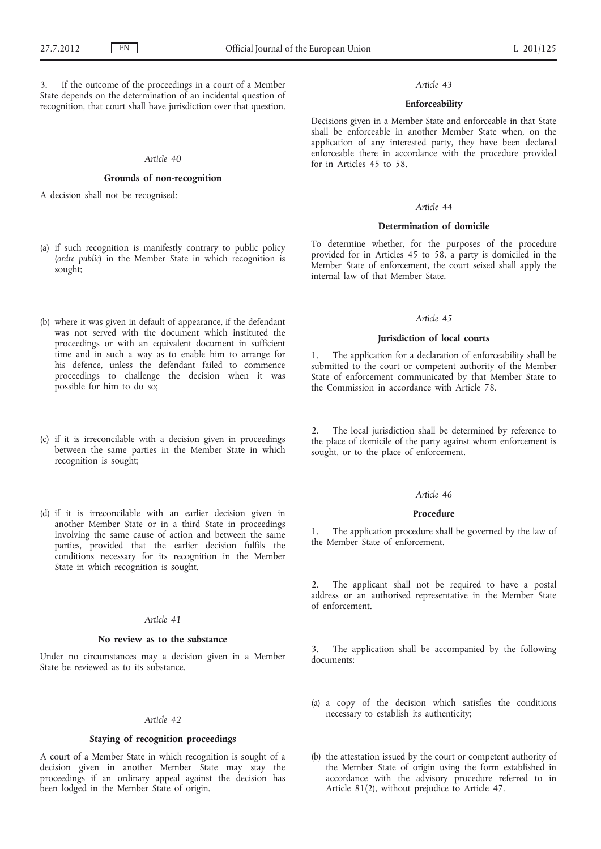If the outcome of the proceedings in a court of a Member State depends on the determination of an incidental question of recognition, that court shall have jurisdiction over that question.

#### *Article 40*

#### **Grounds of non-recognition**

A decision shall not be recognised:

(a) if such recognition is manifestly contrary to public policy (*ordre public*) in the Member State in which recognition is sought;

(b) where it was given in default of appearance, if the defendant was not served with the document which instituted the proceedings or with an equivalent document in sufficient

*Article 44*

for in Articles 45 to 58.

# **Determination of domicile**

*Article 43* **Enforceability** Decisions given in a Member State and enforceable in that State shall be enforceable in another Member State when, on the application of any interested party, they have been declared enforceable there in accordance with the procedure provided

To determine whether, for the purposes of the procedure provided for in Articles 45 to 58, a party is domiciled in the Member State of enforcement, the court seised shall apply the internal law of that Member State.

## *Article 45*

## **Jurisdiction of local courts**

The application for a declaration of enforceability shall be submitted to the court or competent authority of the Member State of enforcement communicated by that Member State to the Commission in accordance with Article 78.

2. The local jurisdiction shall be determined by reference to the place of domicile of the party against whom enforcement is sought, or to the place of enforcement.

#### *Article 46*

#### **Procedure**

The application procedure shall be governed by the law of the Member State of enforcement.

The applicant shall not be required to have a postal address or an authorised representative in the Member State of enforcement.

3. The application shall be accompanied by the following documents:

- (a) a copy of the decision which satisfies the conditions necessary to establish its authenticity;
- (b) the attestation issued by the court or competent authority of the Member State of origin using the form established in accordance with the advisory procedure referred to in Article 81(2), without prejudice to Article 47.

# time and in such a way as to enable him to arrange for his defence, unless the defendant failed to commence proceedings to challenge the decision when it was possible for him to do so;

- (c) if it is irreconcilable with a decision given in proceedings between the same parties in the Member State in which recognition is sought;
- (d) if it is irreconcilable with an earlier decision given in another Member State or in a third State in proceedings involving the same cause of action and between the same parties, provided that the earlier decision fulfils the conditions necessary for its recognition in the Member State in which recognition is sought.

## *Article 41*

#### **No review as to the substance**

Under no circumstances may a decision given in a Member State be reviewed as to its substance.

#### *Article 42*

## **Staying of recognition proceedings**

A court of a Member State in which recognition is sought of a decision given in another Member State may stay the proceedings if an ordinary appeal against the decision has been lodged in the Member State of origin.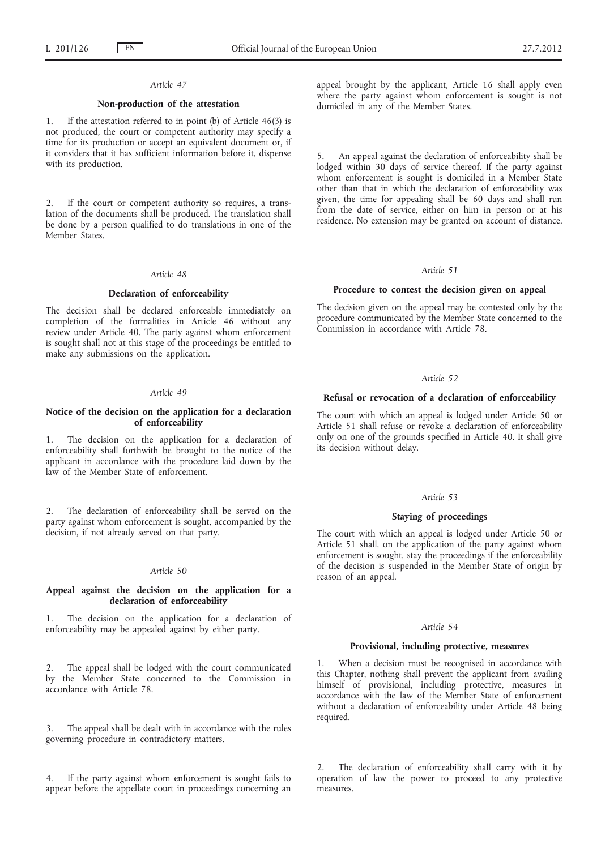# **Non-production of the attestation**

1. If the attestation referred to in point (b) of Article 46(3) is not produced, the court or competent authority may specify a time for its production or accept an equivalent document or, if it considers that it has sufficient information before it, dispense with its production.

2. If the court or competent authority so requires, a translation of the documents shall be produced. The translation shall be done by a person qualified to do translations in one of the Member States.

#### *Article 48*

#### **Declaration of enforceability**

The decision shall be declared enforceable immediately on completion of the formalities in Article 46 without any review under Article 40. The party against whom enforcement is sought shall not at this stage of the proceedings be entitled to make any submissions on the application.

# *Article 49*

## **Notice of the decision on the application for a declaration of enforceability**

1. The decision on the application for a declaration of enforceability shall forthwith be brought to the notice of the applicant in accordance with the procedure laid down by the law of the Member State of enforcement.

2. The declaration of enforceability shall be served on the party against whom enforcement is sought, accompanied by the decision, if not already served on that party.

#### *Article 50*

## **Appeal against the decision on the application for a declaration of enforceability**

1. The decision on the application for a declaration of enforceability may be appealed against by either party.

2. The appeal shall be lodged with the court communicated by the Member State concerned to the Commission in accordance with Article 78.

3. The appeal shall be dealt with in accordance with the rules governing procedure in contradictory matters.

If the party against whom enforcement is sought fails to appear before the appellate court in proceedings concerning an appeal brought by the applicant, Article 16 shall apply even where the party against whom enforcement is sought is not domiciled in any of the Member States.

5. An appeal against the declaration of enforceability shall be lodged within 30 days of service thereof. If the party against whom enforcement is sought is domiciled in a Member State other than that in which the declaration of enforceability was given, the time for appealing shall be 60 days and shall run from the date of service, either on him in person or at his residence. No extension may be granted on account of distance.

#### *Article 51*

#### **Procedure to contest the decision given on appeal**

The decision given on the appeal may be contested only by the procedure communicated by the Member State concerned to the Commission in accordance with Article 78.

#### *Article 52*

#### **Refusal or revocation of a declaration of enforceability**

The court with which an appeal is lodged under Article 50 or Article 51 shall refuse or revoke a declaration of enforceability only on one of the grounds specified in Article 40. It shall give its decision without delay.

#### *Article 53*

## **Staying of proceedings**

The court with which an appeal is lodged under Article 50 or Article 51 shall, on the application of the party against whom enforcement is sought, stay the proceedings if the enforceability of the decision is suspended in the Member State of origin by reason of an appeal.

#### *Article 54*

#### **Provisional, including protective, measures**

1. When a decision must be recognised in accordance with this Chapter, nothing shall prevent the applicant from availing himself of provisional, including protective, measures in accordance with the law of the Member State of enforcement without a declaration of enforceability under Article 48 being required.

The declaration of enforceability shall carry with it by operation of law the power to proceed to any protective measures.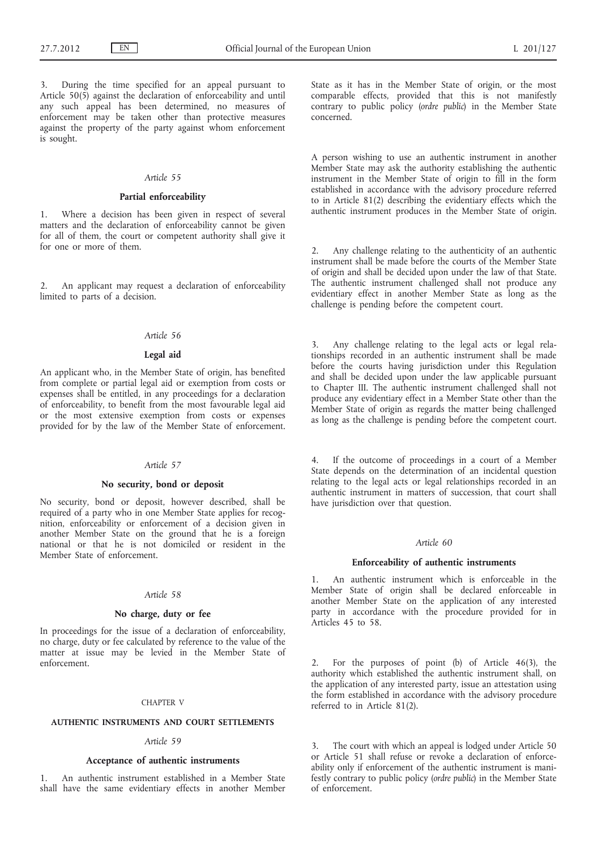3. During the time specified for an appeal pursuant to Article  $50(5)$  against the declaration of enforceability and until any such appeal has been determined, no measures of enforcement may be taken other than protective measures against the property of the party against whom enforcement is sought.

#### *Article 55*

# **Partial enforceability**

1. Where a decision has been given in respect of several matters and the declaration of enforceability cannot be given for all of them, the court or competent authority shall give it for one or more of them.

2. An applicant may request a declaration of enforceability limited to parts of a decision.

# *Article 56*

## **Legal aid**

An applicant who, in the Member State of origin, has benefited from complete or partial legal aid or exemption from costs or expenses shall be entitled, in any proceedings for a declaration of enforceability, to benefit from the most favourable legal aid or the most extensive exemption from costs or expenses provided for by the law of the Member State of enforcement.

## *Article 57*

## **No security, bond or deposit**

No security, bond or deposit, however described, shall be required of a party who in one Member State applies for recognition, enforceability or enforcement of a decision given in another Member State on the ground that he is a foreign national or that he is not domiciled or resident in the Member State of enforcement.

#### *Article 58*

## **No charge, duty or fee**

In proceedings for the issue of a declaration of enforceability, no charge, duty or fee calculated by reference to the value of the matter at issue may be levied in the Member State of enforcement.

#### CHAPTER V

# **AUTHENTIC INSTRUMENTS AND COURT SETTLEMENTS**

## *Article 59*

## **Acceptance of authentic instruments**

1. An authentic instrument established in a Member State shall have the same evidentiary effects in another Member

State as it has in the Member State of origin, or the most comparable effects, provided that this is not manifestly contrary to public policy (*ordre public*) in the Member State concerned.

A person wishing to use an authentic instrument in another Member State may ask the authority establishing the authentic instrument in the Member State of origin to fill in the form established in accordance with the advisory procedure referred to in Article 81(2) describing the evidentiary effects which the authentic instrument produces in the Member State of origin.

2. Any challenge relating to the authenticity of an authentic instrument shall be made before the courts of the Member State of origin and shall be decided upon under the law of that State. The authentic instrument challenged shall not produce any evidentiary effect in another Member State as long as the challenge is pending before the competent court.

Any challenge relating to the legal acts or legal relationships recorded in an authentic instrument shall be made before the courts having jurisdiction under this Regulation and shall be decided upon under the law applicable pursuant to Chapter III. The authentic instrument challenged shall not produce any evidentiary effect in a Member State other than the Member State of origin as regards the matter being challenged as long as the challenge is pending before the competent court.

4. If the outcome of proceedings in a court of a Member State depends on the determination of an incidental question relating to the legal acts or legal relationships recorded in an authentic instrument in matters of succession, that court shall have jurisdiction over that question.

#### *Article 60*

#### **Enforceability of authentic instruments**

1. An authentic instrument which is enforceable in the Member State of origin shall be declared enforceable in another Member State on the application of any interested party in accordance with the procedure provided for in Articles 45 to 58.

2. For the purposes of point (b) of Article 46(3), the authority which established the authentic instrument shall, on the application of any interested party, issue an attestation using the form established in accordance with the advisory procedure referred to in Article 81(2).

3. The court with which an appeal is lodged under Article 50 or Article 51 shall refuse or revoke a declaration of enforceability only if enforcement of the authentic instrument is manifestly contrary to public policy (*ordre public*) in the Member State of enforcement.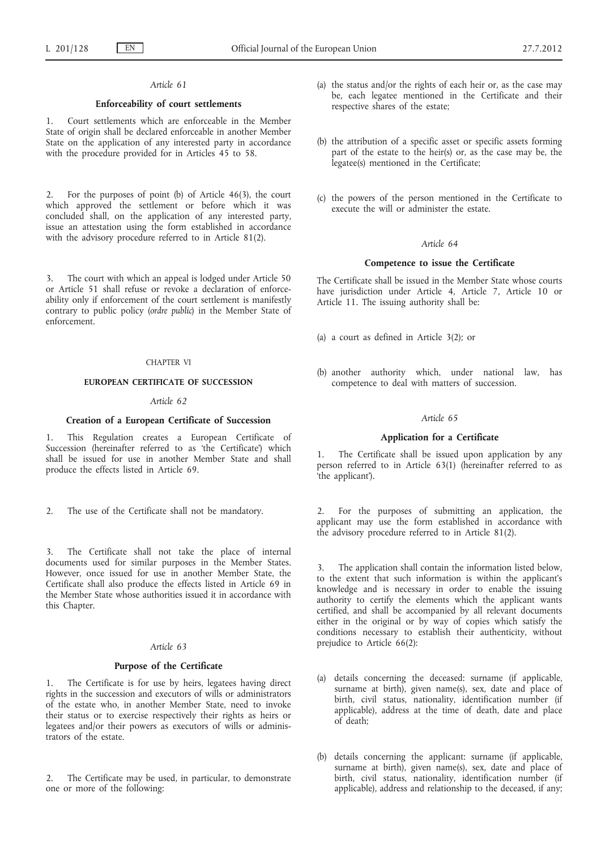## **Enforceability of court settlements**

1. Court settlements which are enforceable in the Member State of origin shall be declared enforceable in another Member State on the application of any interested party in accordance with the procedure provided for in Articles 45 to 58.

2. For the purposes of point (b) of Article 46(3), the court which approved the settlement or before which it was concluded shall, on the application of any interested party, issue an attestation using the form established in accordance with the advisory procedure referred to in Article 81(2).

3. The court with which an appeal is lodged under Article 50 or Article 51 shall refuse or revoke a declaration of enforceability only if enforcement of the court settlement is manifestly contrary to public policy (*ordre public*) in the Member State of enforcement.

## CHAPTER VI

#### **EUROPEAN CERTIFICATE OF SUCCESSION**

## *Article 62*

# **Creation of a European Certificate of Succession**

1. This Regulation creates a European Certificate of Succession (hereinafter referred to as 'the Certificate') which shall be issued for use in another Member State and shall produce the effects listed in Article 69.

2. The use of the Certificate shall not be mandatory.

The Certificate shall not take the place of internal documents used for similar purposes in the Member States. However, once issued for use in another Member State, the Certificate shall also produce the effects listed in Article 69 in the Member State whose authorities issued it in accordance with this Chapter.

## *Article 63*

#### **Purpose of the Certificate**

1. The Certificate is for use by heirs, legatees having direct rights in the succession and executors of wills or administrators of the estate who, in another Member State, need to invoke their status or to exercise respectively their rights as heirs or legatees and/or their powers as executors of wills or administrators of the estate.

The Certificate may be used, in particular, to demonstrate one or more of the following:

- (a) the status and/or the rights of each heir or, as the case may be, each legatee mentioned in the Certificate and their respective shares of the estate;
- (b) the attribution of a specific asset or specific assets forming part of the estate to the heir(s) or, as the case may be, the legatee(s) mentioned in the Certificate;
- (c) the powers of the person mentioned in the Certificate to execute the will or administer the estate.

#### *Article 64*

#### **Competence to issue the Certificate**

The Certificate shall be issued in the Member State whose courts have jurisdiction under Article 4, Article 7, Article 10 or Article 11. The issuing authority shall be:

(a) a court as defined in Article 3(2); or

(b) another authority which, under national law, has competence to deal with matters of succession.

## *Article 65*

## **Application for a Certificate**

The Certificate shall be issued upon application by any person referred to in Article 63(1) (hereinafter referred to as 'the applicant').

2. For the purposes of submitting an application, the applicant may use the form established in accordance with the advisory procedure referred to in Article 81(2).

3. The application shall contain the information listed below, to the extent that such information is within the applicant's knowledge and is necessary in order to enable the issuing authority to certify the elements which the applicant wants certified, and shall be accompanied by all relevant documents either in the original or by way of copies which satisfy the conditions necessary to establish their authenticity, without prejudice to Article 66(2):

- (a) details concerning the deceased: surname (if applicable, surname at birth), given name(s), sex, date and place of birth, civil status, nationality, identification number (if applicable), address at the time of death, date and place of death;
- (b) details concerning the applicant: surname (if applicable, surname at birth), given name(s), sex, date and place of birth, civil status, nationality, identification number (if applicable), address and relationship to the deceased, if any;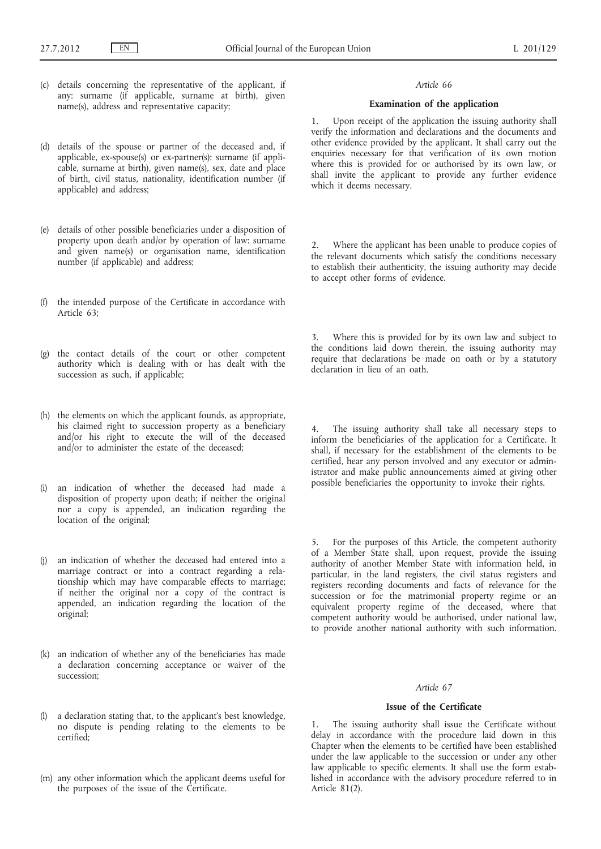- (c) details concerning the representative of the applicant, if any: surname (if applicable, surname at birth), given name(s), address and representative capacity;
- (d) details of the spouse or partner of the deceased and, if applicable, ex-spouse(s) or ex-partner(s): surname (if applicable, surname at birth), given name(s), sex, date and place of birth, civil status, nationality, identification number (if applicable) and address;
- (e) details of other possible beneficiaries under a disposition of property upon death and/or by operation of law: surname and given name(s) or organisation name, identification number (if applicable) and address;
- the intended purpose of the Certificate in accordance with Article 63;
- (g) the contact details of the court or other competent authority which is dealing with or has dealt with the succession as such, if applicable;
- (h) the elements on which the applicant founds, as appropriate, his claimed right to succession property as a beneficiary and/or his right to execute the will of the deceased and/or to administer the estate of the deceased;
- (i) an indication of whether the deceased had made a disposition of property upon death; if neither the original nor a copy is appended, an indication regarding the location of the original;
- (j) an indication of whether the deceased had entered into a marriage contract or into a contract regarding a relationship which may have comparable effects to marriage; if neither the original nor a copy of the contract is appended, an indication regarding the location of the original;
- (k) an indication of whether any of the beneficiaries has made a declaration concerning acceptance or waiver of the succession;
- a declaration stating that, to the applicant's best knowledge, no dispute is pending relating to the elements to be certified;
- (m) any other information which the applicant deems useful for the purposes of the issue of the Certificate.

# **Examination of the application**

1. Upon receipt of the application the issuing authority shall verify the information and declarations and the documents and other evidence provided by the applicant. It shall carry out the enquiries necessary for that verification of its own motion where this is provided for or authorised by its own law, or shall invite the applicant to provide any further evidence which it deems necessary.

Where the applicant has been unable to produce copies of the relevant documents which satisfy the conditions necessary to establish their authenticity, the issuing authority may decide to accept other forms of evidence.

3. Where this is provided for by its own law and subject to the conditions laid down therein, the issuing authority may require that declarations be made on oath or by a statutory declaration in lieu of an oath.

4. The issuing authority shall take all necessary steps to inform the beneficiaries of the application for a Certificate. It shall, if necessary for the establishment of the elements to be certified, hear any person involved and any executor or administrator and make public announcements aimed at giving other possible beneficiaries the opportunity to invoke their rights.

5. For the purposes of this Article, the competent authority of a Member State shall, upon request, provide the issuing authority of another Member State with information held, in particular, in the land registers, the civil status registers and registers recording documents and facts of relevance for the succession or for the matrimonial property regime or an equivalent property regime of the deceased, where that competent authority would be authorised, under national law, to provide another national authority with such information.

## *Article 67*

#### **Issue of the Certificate**

1. The issuing authority shall issue the Certificate without delay in accordance with the procedure laid down in this Chapter when the elements to be certified have been established under the law applicable to the succession or under any other law applicable to specific elements. It shall use the form established in accordance with the advisory procedure referred to in Article 81(2).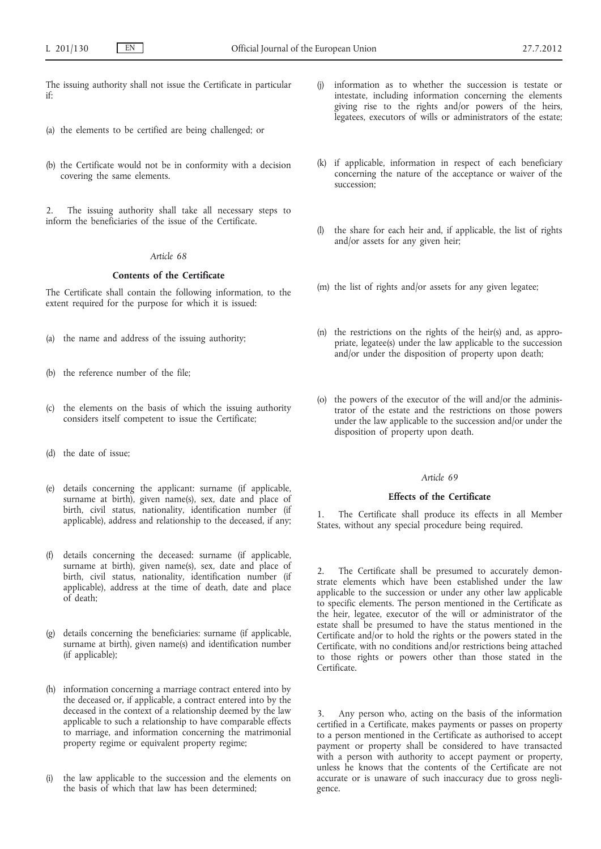The issuing authority shall not issue the Certificate in particular if:

- (a) the elements to be certified are being challenged; or
- (b) the Certificate would not be in conformity with a decision covering the same elements.

2. The issuing authority shall take all necessary steps to inform the beneficiaries of the issue of the Certificate.

## *Article 68*

# **Contents of the Certificate**

The Certificate shall contain the following information, to the extent required for the purpose for which it is issued:

- (a) the name and address of the issuing authority;
- (b) the reference number of the file;
- (c) the elements on the basis of which the issuing authority considers itself competent to issue the Certificate;
- (d) the date of issue;
- (e) details concerning the applicant: surname (if applicable, surname at birth), given name(s), sex, date and place of birth, civil status, nationality, identification number (if applicable), address and relationship to the deceased, if any;
- (f) details concerning the deceased: surname (if applicable, surname at birth), given name(s), sex, date and place of birth, civil status, nationality, identification number (if applicable), address at the time of death, date and place of death;
- (g) details concerning the beneficiaries: surname (if applicable, surname at birth), given name(s) and identification number (if applicable);
- (h) information concerning a marriage contract entered into by the deceased or, if applicable, a contract entered into by the deceased in the context of a relationship deemed by the law applicable to such a relationship to have comparable effects to marriage, and information concerning the matrimonial property regime or equivalent property regime;
- the law applicable to the succession and the elements on the basis of which that law has been determined;
- (j) information as to whether the succession is testate or intestate, including information concerning the elements giving rise to the rights and/or powers of the heirs, legatees, executors of wills or administrators of the estate;
- (k) if applicable, information in respect of each beneficiary concerning the nature of the acceptance or waiver of the succession:
- (l) the share for each heir and, if applicable, the list of rights and/or assets for any given heir;
- (m) the list of rights and/or assets for any given legatee;
- (n) the restrictions on the rights of the heir(s) and, as appropriate, legatee(s) under the law applicable to the succession and/or under the disposition of property upon death;
- (o) the powers of the executor of the will and/or the administrator of the estate and the restrictions on those powers under the law applicable to the succession and/or under the disposition of property upon death.

## *Article 69*

## **Effects of the Certificate**

1. The Certificate shall produce its effects in all Member States, without any special procedure being required.

The Certificate shall be presumed to accurately demonstrate elements which have been established under the law applicable to the succession or under any other law applicable to specific elements. The person mentioned in the Certificate as the heir, legatee, executor of the will or administrator of the estate shall be presumed to have the status mentioned in the Certificate and/or to hold the rights or the powers stated in the Certificate, with no conditions and/or restrictions being attached to those rights or powers other than those stated in the Certificate.

3. Any person who, acting on the basis of the information certified in a Certificate, makes payments or passes on property to a person mentioned in the Certificate as authorised to accept payment or property shall be considered to have transacted with a person with authority to accept payment or property, unless he knows that the contents of the Certificate are not accurate or is unaware of such inaccuracy due to gross negligence.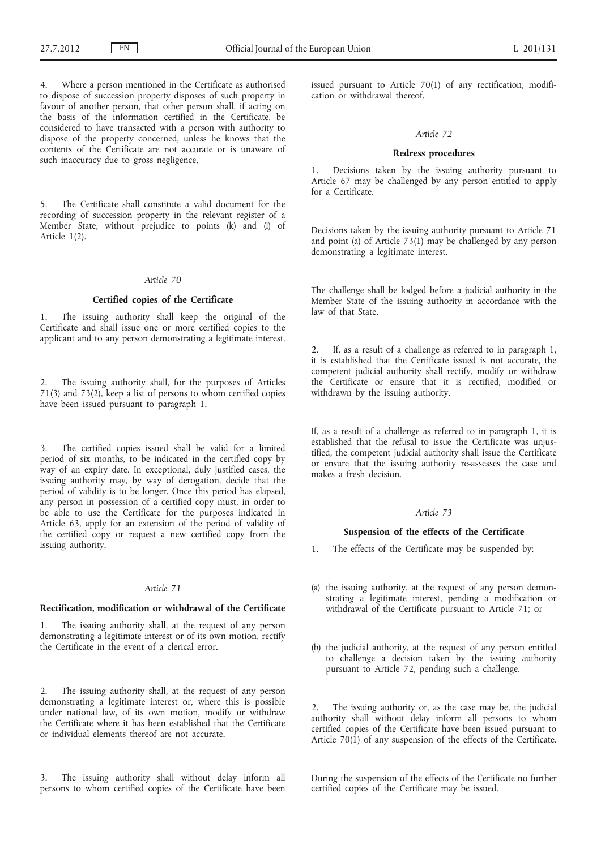4. Where a person mentioned in the Certificate as authorised to dispose of succession property disposes of such property in favour of another person, that other person shall, if acting on the basis of the information certified in the Certificate, be considered to have transacted with a person with authority to dispose of the property concerned, unless he knows that the contents of the Certificate are not accurate or is unaware of such inaccuracy due to gross negligence.

5. The Certificate shall constitute a valid document for the recording of succession property in the relevant register of a Member State, without prejudice to points (k) and (l) of Article 1(2).

## *Article 70*

#### **Certified copies of the Certificate**

1. The issuing authority shall keep the original of the Certificate and shall issue one or more certified copies to the applicant and to any person demonstrating a legitimate interest.

2. The issuing authority shall, for the purposes of Articles 71(3) and 73(2), keep a list of persons to whom certified copies have been issued pursuant to paragraph 1.

3. The certified copies issued shall be valid for a limited period of six months, to be indicated in the certified copy by way of an expiry date. In exceptional, duly justified cases, the issuing authority may, by way of derogation, decide that the period of validity is to be longer. Once this period has elapsed, any person in possession of a certified copy must, in order to be able to use the Certificate for the purposes indicated in Article 63, apply for an extension of the period of validity of the certified copy or request a new certified copy from the issuing authority.

## *Article 71*

#### **Rectification, modification or withdrawal of the Certificate**

1. The issuing authority shall, at the request of any person demonstrating a legitimate interest or of its own motion, rectify the Certificate in the event of a clerical error.

2. The issuing authority shall, at the request of any person demonstrating a legitimate interest or, where this is possible under national law, of its own motion, modify or withdraw the Certificate where it has been established that the Certificate or individual elements thereof are not accurate.

3. The issuing authority shall without delay inform all persons to whom certified copies of the Certificate have been issued pursuant to Article 70(1) of any rectification, modification or withdrawal thereof.

#### *Article 72*

## **Redress procedures**

1. Decisions taken by the issuing authority pursuant to Article 67 may be challenged by any person entitled to apply for a Certificate.

Decisions taken by the issuing authority pursuant to Article 71 and point (a) of Article 73(1) may be challenged by any person demonstrating a legitimate interest.

The challenge shall be lodged before a judicial authority in the Member State of the issuing authority in accordance with the law of that State.

2. If, as a result of a challenge as referred to in paragraph 1, it is established that the Certificate issued is not accurate, the competent judicial authority shall rectify, modify or withdraw the Certificate or ensure that it is rectified, modified or withdrawn by the issuing authority.

If, as a result of a challenge as referred to in paragraph 1, it is established that the refusal to issue the Certificate was unjustified, the competent judicial authority shall issue the Certificate or ensure that the issuing authority re-assesses the case and makes a fresh decision.

## *Article 73*

## **Suspension of the effects of the Certificate**

- 1. The effects of the Certificate may be suspended by:
- (a) the issuing authority, at the request of any person demonstrating a legitimate interest, pending a modification or withdrawal of the Certificate pursuant to Article 71; or
- (b) the judicial authority, at the request of any person entitled to challenge a decision taken by the issuing authority pursuant to Article 72, pending such a challenge.

2. The issuing authority or, as the case may be, the judicial authority shall without delay inform all persons to whom certified copies of the Certificate have been issued pursuant to Article  $70(1)$  of any suspension of the effects of the Certificate.

During the suspension of the effects of the Certificate no further certified copies of the Certificate may be issued.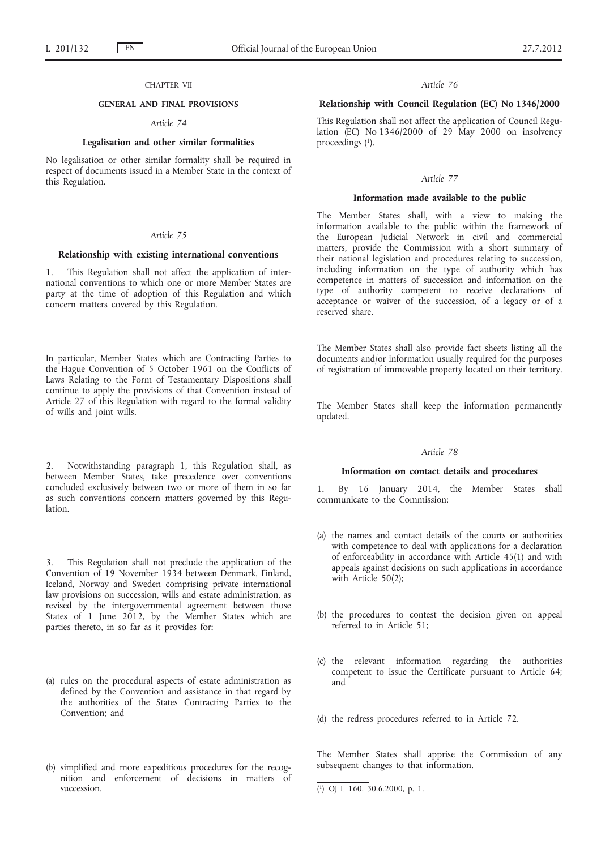## CHAPTER VII

# **GENERAL AND FINAL PROVISIONS**

#### *Article 74*

## **Legalisation and other similar formalities**

No legalisation or other similar formality shall be required in respect of documents issued in a Member State in the context of this Regulation.

#### *Article 75*

#### **Relationship with existing international conventions**

1. This Regulation shall not affect the application of international conventions to which one or more Member States are party at the time of adoption of this Regulation and which concern matters covered by this Regulation.

In particular, Member States which are Contracting Parties to the Hague Convention of 5 October 1961 on the Conflicts of Laws Relating to the Form of Testamentary Dispositions shall continue to apply the provisions of that Convention instead of Article 27 of this Regulation with regard to the formal validity of wills and joint wills.

2. Notwithstanding paragraph 1, this Regulation shall, as between Member States, take precedence over conventions concluded exclusively between two or more of them in so far as such conventions concern matters governed by this Regulation.

This Regulation shall not preclude the application of the Convention of 19 November 1934 between Denmark, Finland, Iceland, Norway and Sweden comprising private international law provisions on succession, wills and estate administration, as revised by the intergovernmental agreement between those States of 1 June 2012, by the Member States which are parties thereto, in so far as it provides for:

- (a) rules on the procedural aspects of estate administration as defined by the Convention and assistance in that regard by the authorities of the States Contracting Parties to the Convention; and
- (b) simplified and more expeditious procedures for the recognition and enforcement of decisions in matters of succession.

#### *Article 76*

## **Relationship with Council Regulation (EC) No 1346/2000**

This Regulation shall not affect the application of Council Regulation (EC) No 1346/2000 of 29 May 2000 on insolvency proceedings (1).

#### *Article 77*

#### **Information made available to the public**

The Member States shall, with a view to making the information available to the public within the framework of the European Judicial Network in civil and commercial matters, provide the Commission with a short summary of their national legislation and procedures relating to succession, including information on the type of authority which has competence in matters of succession and information on the type of authority competent to receive declarations of acceptance or waiver of the succession, of a legacy or of a reserved share.

The Member States shall also provide fact sheets listing all the documents and/or information usually required for the purposes of registration of immovable property located on their territory.

The Member States shall keep the information permanently updated.

#### *Article 78*

#### **Information on contact details and procedures**

1. By 16 January 2014, the Member States shall communicate to the Commission:

- (a) the names and contact details of the courts or authorities with competence to deal with applications for a declaration of enforceability in accordance with Article 45(1) and with appeals against decisions on such applications in accordance with Article 50(2);
- (b) the procedures to contest the decision given on appeal referred to in Article 51;
- (c) the relevant information regarding the authorities competent to issue the Certificate pursuant to Article 64; and
- (d) the redress procedures referred to in Article 72.

The Member States shall apprise the Commission of any subsequent changes to that information.

<sup>(</sup> 1) OJ L 160, 30.6.2000, p. 1.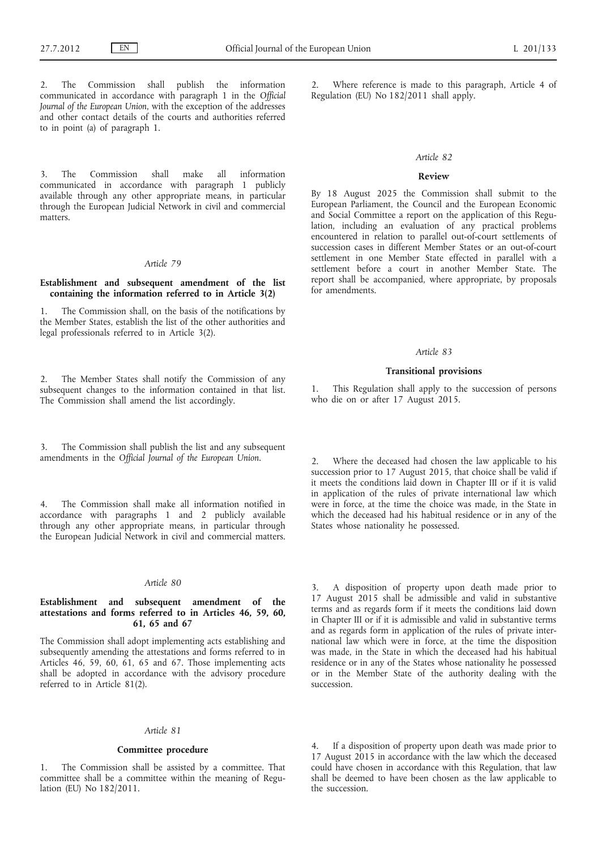2. The Commission shall publish the information communicated in accordance with paragraph 1 in the *Official Journal of the European Union*, with the exception of the addresses and other contact details of the courts and authorities referred to in point (a) of paragraph 1.

3. The Commission shall make all information communicated in accordance with paragraph 1 publicly available through any other appropriate means, in particular through the European Judicial Network in civil and commercial matters.

#### *Article 79*

## **Establishment and subsequent amendment of the list containing the information referred to in Article 3(2)**

1. The Commission shall, on the basis of the notifications by the Member States, establish the list of the other authorities and legal professionals referred to in Article 3(2).

2. The Member States shall notify the Commission of any subsequent changes to the information contained in that list. The Commission shall amend the list accordingly.

3. The Commission shall publish the list and any subsequent amendments in the *Official Journal of the European Union*.

4. The Commission shall make all information notified in accordance with paragraphs 1 and 2 publicly available through any other appropriate means, in particular through the European Judicial Network in civil and commercial matters.

#### *Article 80*

## **Establishment and subsequent amendment of the attestations and forms referred to in Articles 46, 59, 60, 61, 65 and 67**

The Commission shall adopt implementing acts establishing and subsequently amending the attestations and forms referred to in Articles 46, 59, 60, 61, 65 and 67. Those implementing acts shall be adopted in accordance with the advisory procedure referred to in Article 81(2).

#### *Article 81*

#### **Committee procedure**

1. The Commission shall be assisted by a committee. That committee shall be a committee within the meaning of Regulation (EU) No 182/2011.

2. Where reference is made to this paragraph, Article 4 of Regulation (EU) No 182/2011 shall apply.

#### *Article 82*

## **Review**

By 18 August 2025 the Commission shall submit to the European Parliament, the Council and the European Economic and Social Committee a report on the application of this Regulation, including an evaluation of any practical problems encountered in relation to parallel out-of-court settlements of succession cases in different Member States or an out-of-court settlement in one Member State effected in parallel with a settlement before a court in another Member State. The report shall be accompanied, where appropriate, by proposals for amendments.

## *Article 83*

# **Transitional provisions**

1. This Regulation shall apply to the succession of persons who die on or after 17 August 2015.

Where the deceased had chosen the law applicable to his succession prior to 17 August 2015, that choice shall be valid if it meets the conditions laid down in Chapter III or if it is valid in application of the rules of private international law which were in force, at the time the choice was made, in the State in which the deceased had his habitual residence or in any of the States whose nationality he possessed.

3. A disposition of property upon death made prior to 17 August 2015 shall be admissible and valid in substantive terms and as regards form if it meets the conditions laid down in Chapter III or if it is admissible and valid in substantive terms and as regards form in application of the rules of private international law which were in force, at the time the disposition was made, in the State in which the deceased had his habitual residence or in any of the States whose nationality he possessed or in the Member State of the authority dealing with the succession.

If a disposition of property upon death was made prior to 17 August 2015 in accordance with the law which the deceased could have chosen in accordance with this Regulation, that law shall be deemed to have been chosen as the law applicable to the succession.